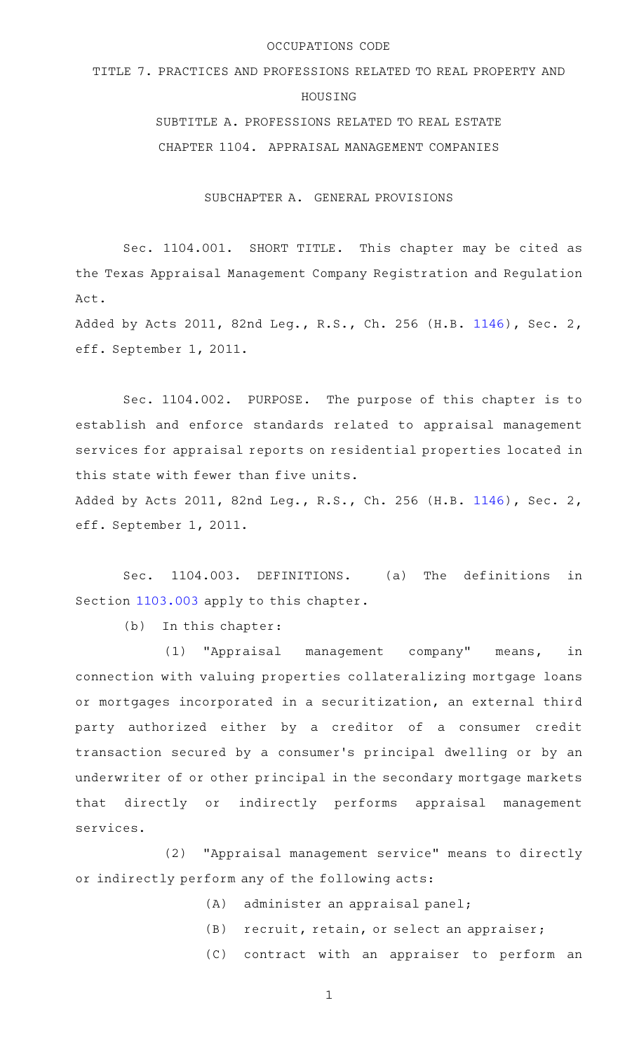#### OCCUPATIONS CODE

TITLE 7. PRACTICES AND PROFESSIONS RELATED TO REAL PROPERTY AND

## HOUSING

SUBTITLE A. PROFESSIONS RELATED TO REAL ESTATE CHAPTER 1104. APPRAISAL MANAGEMENT COMPANIES

SUBCHAPTER A. GENERAL PROVISIONS

Sec. 1104.001. SHORT TITLE. This chapter may be cited as the Texas Appraisal Management Company Registration and Regulation Act.

Added by Acts 2011, 82nd Leg., R.S., Ch. 256 (H.B. [1146](http://www.legis.state.tx.us/tlodocs/82R/billtext/html/HB01146F.HTM)), Sec. 2, eff. September 1, 2011.

Sec. 1104.002. PURPOSE. The purpose of this chapter is to establish and enforce standards related to appraisal management services for appraisal reports on residential properties located in this state with fewer than five units.

Added by Acts 2011, 82nd Leg., R.S., Ch. 256 (H.B. [1146](http://www.legis.state.tx.us/tlodocs/82R/billtext/html/HB01146F.HTM)), Sec. 2, eff. September 1, 2011.

Sec. 1104.003. DEFINITIONS. (a) The definitions in Section [1103.003](http://www.statutes.legis.state.tx.us/GetStatute.aspx?Code=OC&Value=1103.003) apply to this chapter.

 $(b)$  In this chapter:

(1) "Appraisal management company" means, in connection with valuing properties collateralizing mortgage loans or mortgages incorporated in a securitization, an external third party authorized either by a creditor of a consumer credit transaction secured by a consumer 's principal dwelling or by an underwriter of or other principal in the secondary mortgage markets that directly or indirectly performs appraisal management services.

(2) "Appraisal management service" means to directly or indirectly perform any of the following acts:

- $(A)$  administer an appraisal panel;
- (B) recruit, retain, or select an appraiser;
- (C) contract with an appraiser to perform an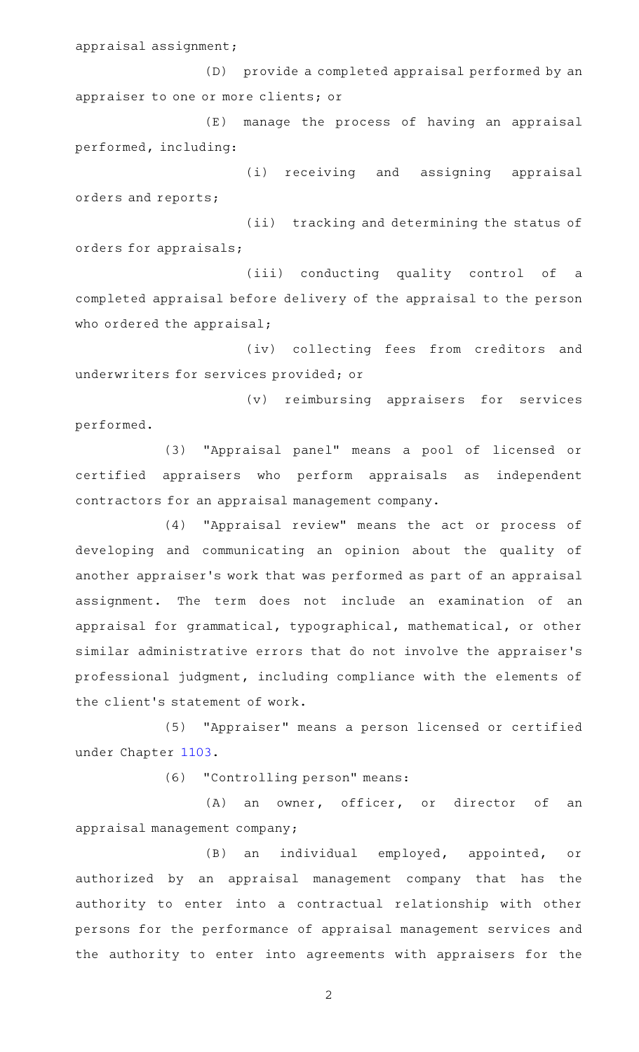appraisal assignment;

(D) provide a completed appraisal performed by an appraiser to one or more clients; or

(E) manage the process of having an appraisal performed, including:

(i) receiving and assigning appraisal orders and reports;

(ii) tracking and determining the status of orders for appraisals;

(iii) conducting quality control of a completed appraisal before delivery of the appraisal to the person who ordered the appraisal;

(iv) collecting fees from creditors and underwriters for services provided; or

(v) reimbursing appraisers for services performed.

(3) "Appraisal panel" means a pool of licensed or certified appraisers who perform appraisals as independent contractors for an appraisal management company.

(4) "Appraisal review" means the act or process of developing and communicating an opinion about the quality of another appraiser 's work that was performed as part of an appraisal assignment. The term does not include an examination of an appraisal for grammatical, typographical, mathematical, or other similar administrative errors that do not involve the appraiser 's professional judgment, including compliance with the elements of the client 's statement of work.

(5) "Appraiser" means a person licensed or certified under Chapter [1103.](http://www.statutes.legis.state.tx.us/GetStatute.aspx?Code=OC&Value=1103)

(6) "Controlling person" means:

(A) an owner, officer, or director of an appraisal management company;

(B) an individual employed, appointed, or authorized by an appraisal management company that has the authority to enter into a contractual relationship with other persons for the performance of appraisal management services and the authority to enter into agreements with appraisers for the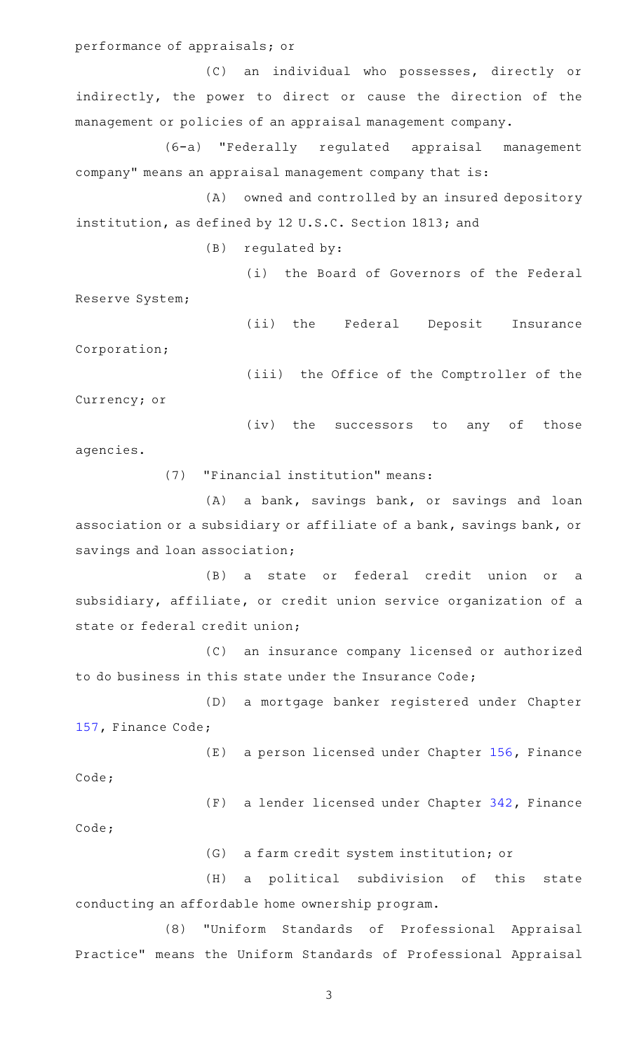performance of appraisals; or

(C) an individual who possesses, directly or indirectly, the power to direct or cause the direction of the management or policies of an appraisal management company.

(6-a) "Federally regulated appraisal management company" means an appraisal management company that is:

(A) owned and controlled by an insured depository institution, as defined by 12 U.S.C. Section 1813; and

 $(B)$  regulated by:

(i) the Board of Governors of the Federal Reserve System;

(ii) the Federal Deposit Insurance Corporation;

(iii) the Office of the Comptroller of the

Currency; or

(iv) the successors to any of those agencies.

(7) "Financial institution" means:

(A) a bank, savings bank, or savings and loan association or a subsidiary or affiliate of a bank, savings bank, or savings and loan association;

(B) a state or federal credit union or a subsidiary, affiliate, or credit union service organization of a state or federal credit union;

(C) an insurance company licensed or authorized to do business in this state under the Insurance Code;

(D) a mortgage banker registered under Chapter [157,](http://www.statutes.legis.state.tx.us/GetStatute.aspx?Code=FI&Value=157) Finance Code;

 $(E)$  a person licensed under Chapter [156](http://www.statutes.legis.state.tx.us/GetStatute.aspx?Code=FI&Value=156), Finance Code;

(F) a lender licensed under Chapter [342](http://www.statutes.legis.state.tx.us/GetStatute.aspx?Code=FI&Value=342), Finance Code;

(G) a farm credit system institution; or

(H) a political subdivision of this state conducting an affordable home ownership program.

(8) "Uniform Standards of Professional Appraisal Practice" means the Uniform Standards of Professional Appraisal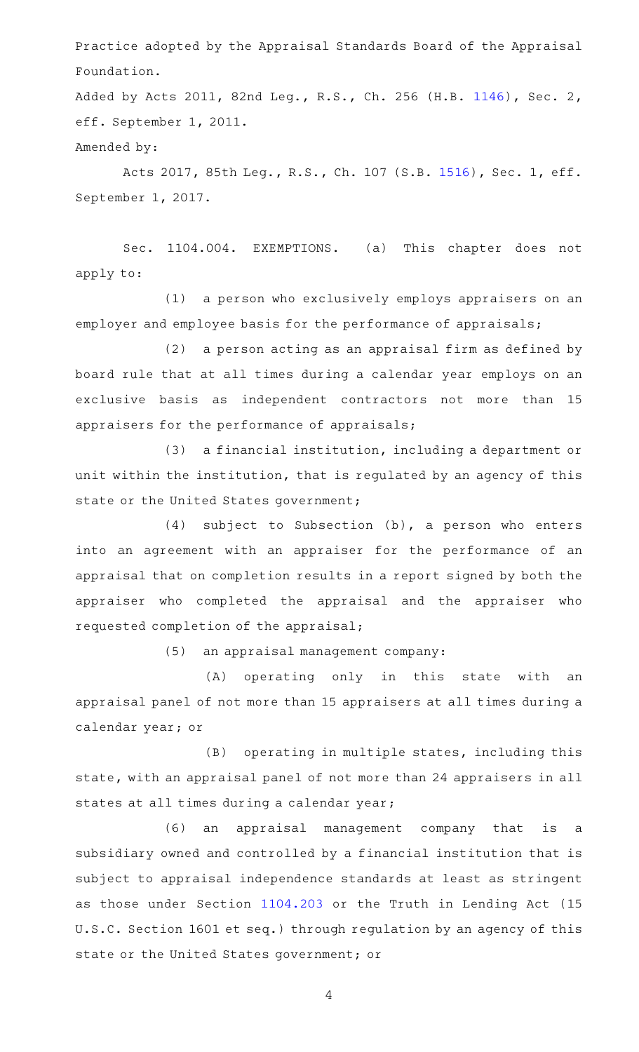Practice adopted by the Appraisal Standards Board of the Appraisal Foundation.

Added by Acts 2011, 82nd Leg., R.S., Ch. 256 (H.B. [1146](http://www.legis.state.tx.us/tlodocs/82R/billtext/html/HB01146F.HTM)), Sec. 2, eff. September 1, 2011.

Amended by:

Acts 2017, 85th Leg., R.S., Ch. 107 (S.B. [1516](http://www.legis.state.tx.us/tlodocs/85R/billtext/html/SB01516F.HTM)), Sec. 1, eff. September 1, 2017.

Sec. 1104.004. EXEMPTIONS. (a) This chapter does not apply to:

(1) a person who exclusively employs appraisers on an employer and employee basis for the performance of appraisals;

(2) a person acting as an appraisal firm as defined by board rule that at all times during a calendar year employs on an exclusive basis as independent contractors not more than 15 appraisers for the performance of appraisals;

(3) a financial institution, including a department or unit within the institution, that is regulated by an agency of this state or the United States government;

 $(4)$  subject to Subsection  $(b)$ , a person who enters into an agreement with an appraiser for the performance of an appraisal that on completion results in a report signed by both the appraiser who completed the appraisal and the appraiser who requested completion of the appraisal;

(5) an appraisal management company:

(A) operating only in this state with an appraisal panel of not more than 15 appraisers at all times during a calendar year; or

 $(B)$  operating in multiple states, including this state, with an appraisal panel of not more than 24 appraisers in all states at all times during a calendar year;

(6) an appraisal management company that is a subsidiary owned and controlled by a financial institution that is subject to appraisal independence standards at least as stringent as those under Section [1104.203](http://www.statutes.legis.state.tx.us/GetStatute.aspx?Code=OC&Value=1104.203) or the Truth in Lending Act (15 U.S.C. Section 1601 et seq.) through regulation by an agency of this state or the United States government; or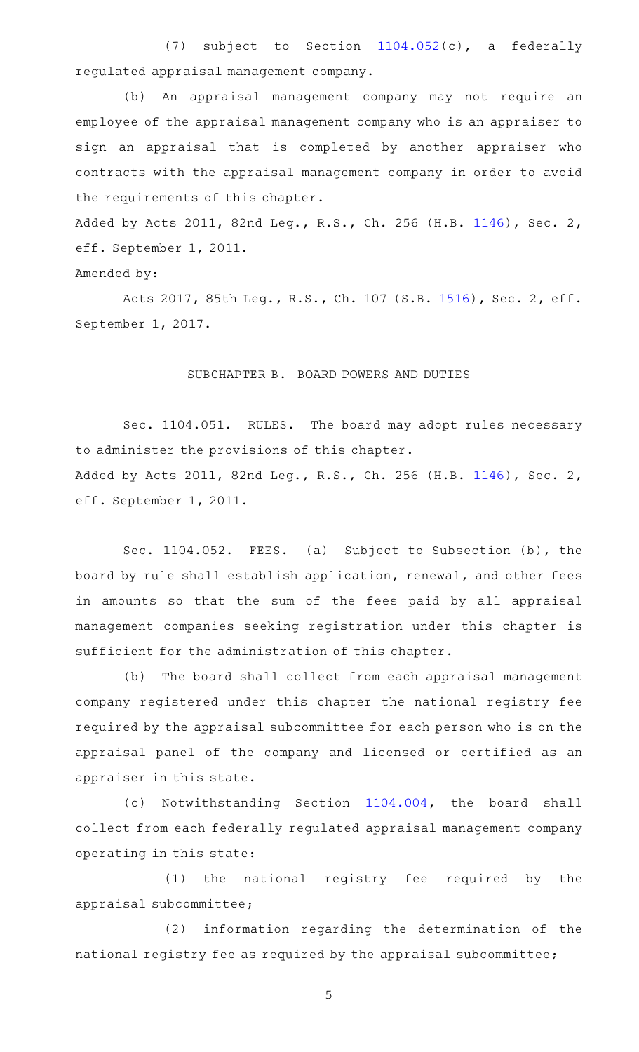(7) subject to Section  $1104.052(c)$  $1104.052(c)$ , a federally regulated appraisal management company.

(b) An appraisal management company may not require an employee of the appraisal management company who is an appraiser to sign an appraisal that is completed by another appraiser who contracts with the appraisal management company in order to avoid the requirements of this chapter.

Added by Acts 2011, 82nd Leg., R.S., Ch. 256 (H.B. [1146](http://www.legis.state.tx.us/tlodocs/82R/billtext/html/HB01146F.HTM)), Sec. 2, eff. September 1, 2011.

## Amended by:

Acts 2017, 85th Leg., R.S., Ch. 107 (S.B. [1516](http://www.legis.state.tx.us/tlodocs/85R/billtext/html/SB01516F.HTM)), Sec. 2, eff. September 1, 2017.

#### SUBCHAPTER B. BOARD POWERS AND DUTIES

Sec. 1104.051. RULES. The board may adopt rules necessary to administer the provisions of this chapter. Added by Acts 2011, 82nd Leg., R.S., Ch. 256 (H.B. [1146](http://www.legis.state.tx.us/tlodocs/82R/billtext/html/HB01146F.HTM)), Sec. 2, eff. September 1, 2011.

Sec. 1104.052. FEES. (a) Subject to Subsection (b), the board by rule shall establish application, renewal, and other fees in amounts so that the sum of the fees paid by all appraisal management companies seeking registration under this chapter is sufficient for the administration of this chapter.

(b) The board shall collect from each appraisal management company registered under this chapter the national registry fee required by the appraisal subcommittee for each person who is on the appraisal panel of the company and licensed or certified as an appraiser in this state.

(c) Notwithstanding Section [1104.004,](http://www.statutes.legis.state.tx.us/GetStatute.aspx?Code=OC&Value=1104.004) the board shall collect from each federally regulated appraisal management company operating in this state:

(1) the national registry fee required by the appraisal subcommittee;

(2) information regarding the determination of the national registry fee as required by the appraisal subcommittee;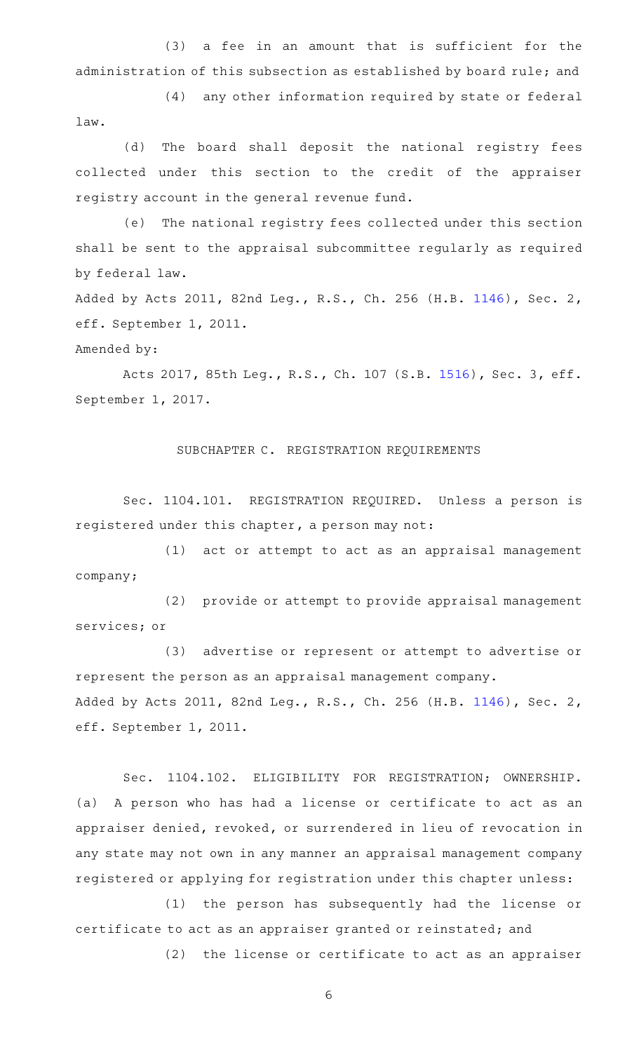(3) a fee in an amount that is sufficient for the administration of this subsection as established by board rule; and

(4) any other information required by state or federal law.

(d) The board shall deposit the national registry fees collected under this section to the credit of the appraiser registry account in the general revenue fund.

(e) The national registry fees collected under this section shall be sent to the appraisal subcommittee regularly as required by federal law.

Added by Acts 2011, 82nd Leg., R.S., Ch. 256 (H.B. [1146](http://www.legis.state.tx.us/tlodocs/82R/billtext/html/HB01146F.HTM)), Sec. 2, eff. September 1, 2011.

# Amended by:

Acts 2017, 85th Leg., R.S., Ch. 107 (S.B. [1516](http://www.legis.state.tx.us/tlodocs/85R/billtext/html/SB01516F.HTM)), Sec. 3, eff. September 1, 2017.

## SUBCHAPTER C. REGISTRATION REQUIREMENTS

Sec. 1104.101. REGISTRATION REQUIRED. Unless a person is registered under this chapter, a person may not:

(1) act or attempt to act as an appraisal management company;

(2) provide or attempt to provide appraisal management services; or

(3) advertise or represent or attempt to advertise or represent the person as an appraisal management company. Added by Acts 2011, 82nd Leg., R.S., Ch. 256 (H.B. [1146](http://www.legis.state.tx.us/tlodocs/82R/billtext/html/HB01146F.HTM)), Sec. 2, eff. September 1, 2011.

Sec. 1104.102. ELIGIBILITY FOR REGISTRATION; OWNERSHIP. (a) A person who has had a license or certificate to act as an appraiser denied, revoked, or surrendered in lieu of revocation in any state may not own in any manner an appraisal management company registered or applying for registration under this chapter unless:

(1) the person has subsequently had the license or certificate to act as an appraiser granted or reinstated; and

(2) the license or certificate to act as an appraiser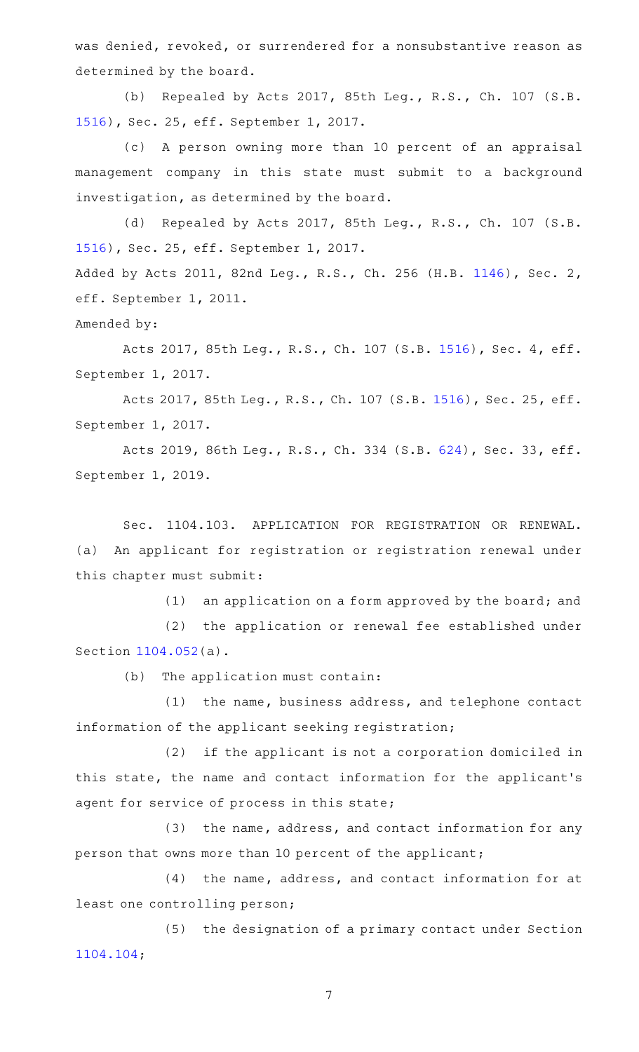was denied, revoked, or surrendered for a nonsubstantive reason as determined by the board.

(b) Repealed by Acts 2017, 85th Leg., R.S., Ch. 107 (S.B. [1516](http://www.legis.state.tx.us/tlodocs/85R/billtext/html/SB01516F.HTM)), Sec. 25, eff. September 1, 2017.

(c) A person owning more than 10 percent of an appraisal management company in this state must submit to a background investigation, as determined by the board.

(d) Repealed by Acts 2017, 85th Leg., R.S., Ch. 107 (S.B. [1516](http://www.legis.state.tx.us/tlodocs/85R/billtext/html/SB01516F.HTM)), Sec. 25, eff. September 1, 2017. Added by Acts 2011, 82nd Leg., R.S., Ch. 256 (H.B. [1146](http://www.legis.state.tx.us/tlodocs/82R/billtext/html/HB01146F.HTM)), Sec. 2, eff. September 1, 2011. Amended by:

Acts 2017, 85th Leg., R.S., Ch. 107 (S.B. [1516](http://www.legis.state.tx.us/tlodocs/85R/billtext/html/SB01516F.HTM)), Sec. 4, eff. September 1, 2017.

Acts 2017, 85th Leg., R.S., Ch. 107 (S.B. [1516\)](http://www.legis.state.tx.us/tlodocs/85R/billtext/html/SB01516F.HTM), Sec. 25, eff. September 1, 2017.

Acts 2019, 86th Leg., R.S., Ch. 334 (S.B. [624\)](http://www.legis.state.tx.us/tlodocs/86R/billtext/html/SB00624F.HTM), Sec. 33, eff. September 1, 2019.

Sec. 1104.103. APPLICATION FOR REGISTRATION OR RENEWAL. (a) An applicant for registration or registration renewal under this chapter must submit:

 $(1)$  an application on a form approved by the board; and

(2) the application or renewal fee established under Section [1104.052](http://www.statutes.legis.state.tx.us/GetStatute.aspx?Code=OC&Value=1104.052)(a).

(b) The application must contain:

 $(1)$  the name, business address, and telephone contact information of the applicant seeking registration;

(2) if the applicant is not a corporation domiciled in this state, the name and contact information for the applicant 's agent for service of process in this state;

(3) the name, address, and contact information for any person that owns more than 10 percent of the applicant;

 $(4)$  the name, address, and contact information for at least one controlling person;

(5) the designation of a primary contact under Section [1104.104](http://www.statutes.legis.state.tx.us/GetStatute.aspx?Code=OC&Value=1104.104);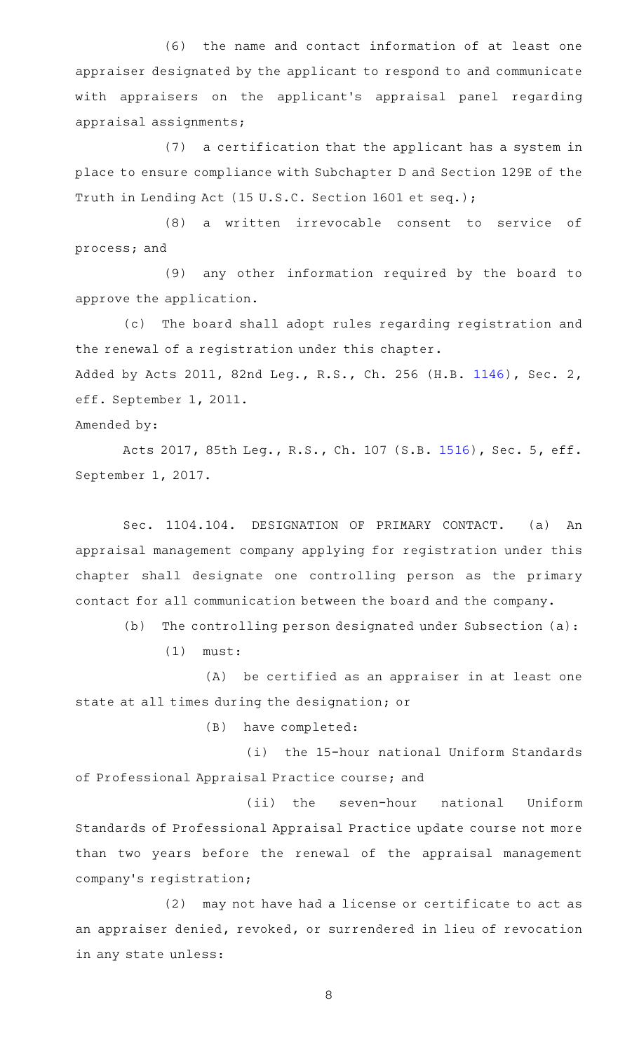(6) the name and contact information of at least one appraiser designated by the applicant to respond to and communicate with appraisers on the applicant 's appraisal panel regarding appraisal assignments;

(7) a certification that the applicant has a system in place to ensure compliance with Subchapter D and Section 129E of the Truth in Lending Act (15 U.S.C. Section 1601 et seq.);

(8) a written irrevocable consent to service of process; and

(9) any other information required by the board to approve the application.

(c) The board shall adopt rules regarding registration and the renewal of a registration under this chapter. Added by Acts 2011, 82nd Leg., R.S., Ch. 256 (H.B. [1146](http://www.legis.state.tx.us/tlodocs/82R/billtext/html/HB01146F.HTM)), Sec. 2,

Amended by:

eff. September 1, 2011.

Acts 2017, 85th Leg., R.S., Ch. 107 (S.B. [1516](http://www.legis.state.tx.us/tlodocs/85R/billtext/html/SB01516F.HTM)), Sec. 5, eff. September 1, 2017.

Sec. 1104.104. DESIGNATION OF PRIMARY CONTACT. (a) An appraisal management company applying for registration under this chapter shall designate one controlling person as the primary contact for all communication between the board and the company.

 $(b)$  The controlling person designated under Subsection (a):

 $(1)$  must:

(A) be certified as an appraiser in at least one state at all times during the designation; or

(B) have completed:

(i) the 15-hour national Uniform Standards of Professional Appraisal Practice course; and

(ii) the seven-hour national Uniform Standards of Professional Appraisal Practice update course not more than two years before the renewal of the appraisal management company 's registration;

(2) may not have had a license or certificate to act as an appraiser denied, revoked, or surrendered in lieu of revocation in any state unless: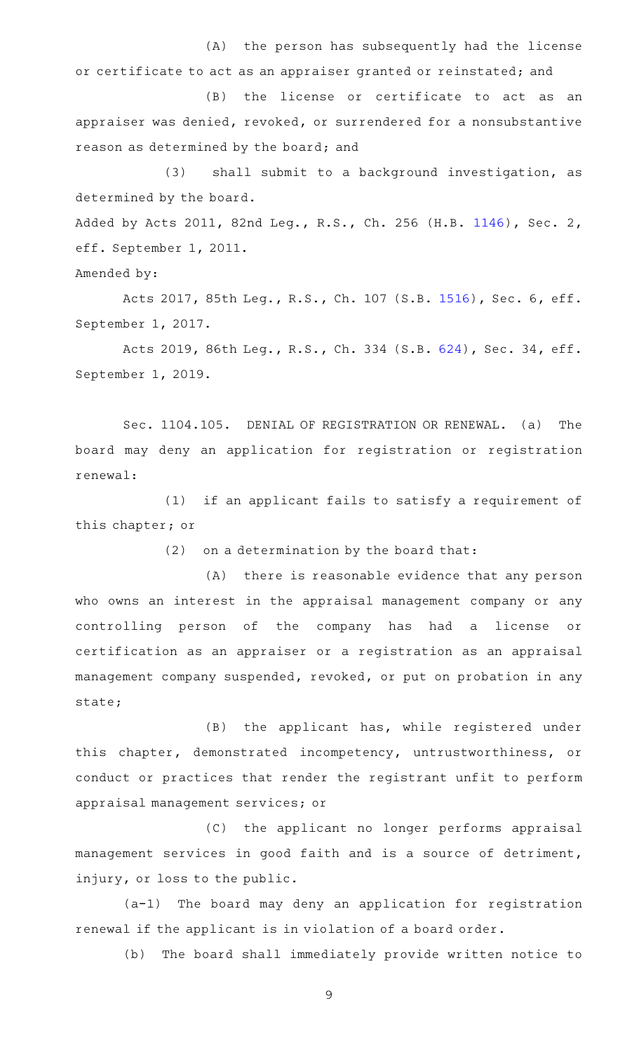(A) the person has subsequently had the license or certificate to act as an appraiser granted or reinstated; and

(B) the license or certificate to act as an appraiser was denied, revoked, or surrendered for a nonsubstantive reason as determined by the board; and

(3) shall submit to a background investigation, as determined by the board.

Added by Acts 2011, 82nd Leg., R.S., Ch. 256 (H.B. [1146](http://www.legis.state.tx.us/tlodocs/82R/billtext/html/HB01146F.HTM)), Sec. 2, eff. September 1, 2011.

Amended by:

Acts 2017, 85th Leg., R.S., Ch. 107 (S.B. [1516](http://www.legis.state.tx.us/tlodocs/85R/billtext/html/SB01516F.HTM)), Sec. 6, eff. September 1, 2017.

Acts 2019, 86th Leg., R.S., Ch. 334 (S.B. [624\)](http://www.legis.state.tx.us/tlodocs/86R/billtext/html/SB00624F.HTM), Sec. 34, eff. September 1, 2019.

Sec. 1104.105. DENIAL OF REGISTRATION OR RENEWAL. (a) The board may deny an application for registration or registration renewal:

 $(1)$  if an applicant fails to satisfy a requirement of this chapter; or

 $(2)$  on a determination by the board that:

(A) there is reasonable evidence that any person who owns an interest in the appraisal management company or any controlling person of the company has had a license or certification as an appraiser or a registration as an appraisal management company suspended, revoked, or put on probation in any state;

(B) the applicant has, while registered under this chapter, demonstrated incompetency, untrustworthiness, or conduct or practices that render the registrant unfit to perform appraisal management services; or

(C) the applicant no longer performs appraisal management services in good faith and is a source of detriment, injury, or loss to the public.

(a-1) The board may deny an application for registration renewal if the applicant is in violation of a board order.

(b) The board shall immediately provide written notice to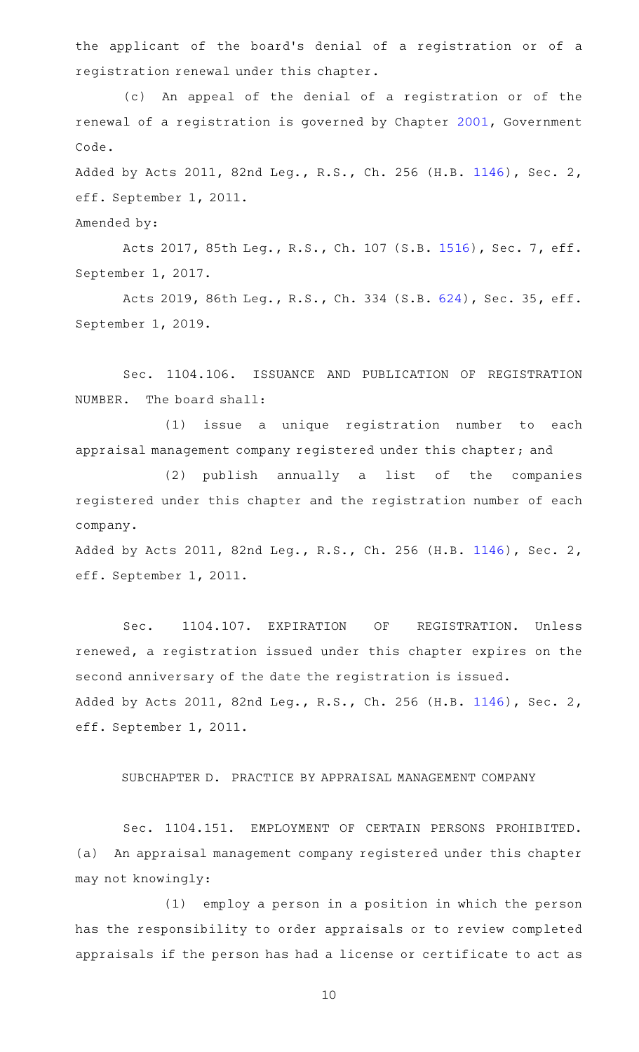the applicant of the board's denial of a registration or of a registration renewal under this chapter.

(c) An appeal of the denial of a registration or of the renewal of a registration is governed by Chapter [2001,](http://www.statutes.legis.state.tx.us/GetStatute.aspx?Code=GV&Value=2001) Government Code.

Added by Acts 2011, 82nd Leg., R.S., Ch. 256 (H.B. [1146](http://www.legis.state.tx.us/tlodocs/82R/billtext/html/HB01146F.HTM)), Sec. 2, eff. September 1, 2011.

Amended by:

Acts 2017, 85th Leg., R.S., Ch. 107 (S.B. [1516](http://www.legis.state.tx.us/tlodocs/85R/billtext/html/SB01516F.HTM)), Sec. 7, eff. September 1, 2017.

Acts 2019, 86th Leg., R.S., Ch. 334 (S.B. [624\)](http://www.legis.state.tx.us/tlodocs/86R/billtext/html/SB00624F.HTM), Sec. 35, eff. September 1, 2019.

Sec. 1104.106. ISSUANCE AND PUBLICATION OF REGISTRATION NUMBER. The board shall:

(1) issue a unique registration number to each appraisal management company registered under this chapter; and

(2) publish annually a list of the companies registered under this chapter and the registration number of each company.

Added by Acts 2011, 82nd Leg., R.S., Ch. 256 (H.B. [1146](http://www.legis.state.tx.us/tlodocs/82R/billtext/html/HB01146F.HTM)), Sec. 2, eff. September 1, 2011.

Sec. 1104.107. EXPIRATION OF REGISTRATION. Unless renewed, a registration issued under this chapter expires on the second anniversary of the date the registration is issued. Added by Acts 2011, 82nd Leg., R.S., Ch. 256 (H.B. [1146](http://www.legis.state.tx.us/tlodocs/82R/billtext/html/HB01146F.HTM)), Sec. 2, eff. September 1, 2011.

SUBCHAPTER D. PRACTICE BY APPRAISAL MANAGEMENT COMPANY

Sec. 1104.151. EMPLOYMENT OF CERTAIN PERSONS PROHIBITED. (a) An appraisal management company registered under this chapter may not knowingly:

(1) employ a person in a position in which the person has the responsibility to order appraisals or to review completed appraisals if the person has had a license or certificate to act as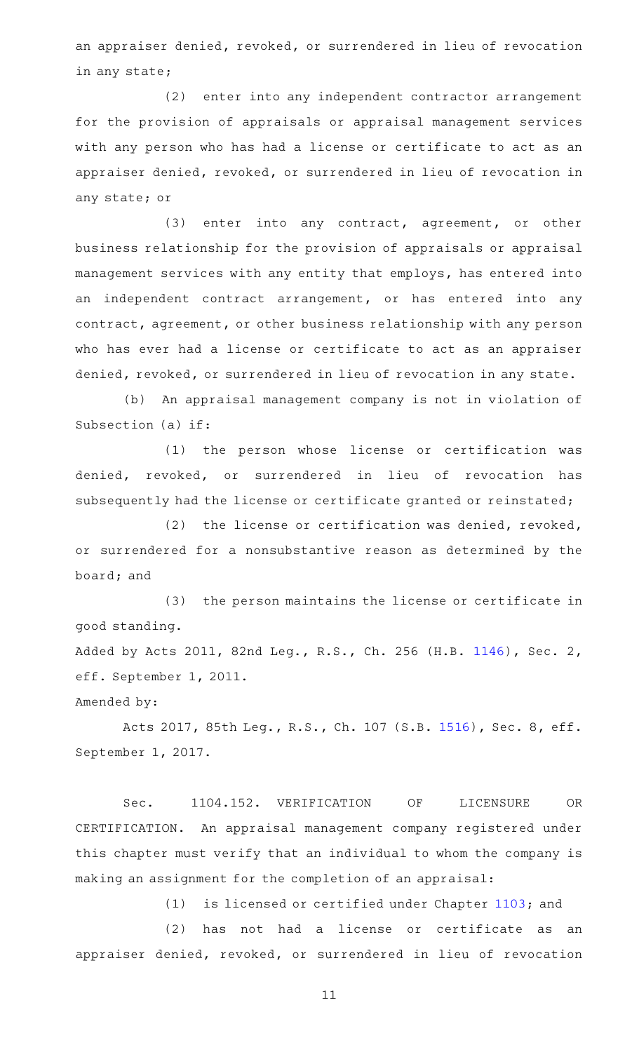an appraiser denied, revoked, or surrendered in lieu of revocation in any state;

(2) enter into any independent contractor arrangement for the provision of appraisals or appraisal management services with any person who has had a license or certificate to act as an appraiser denied, revoked, or surrendered in lieu of revocation in any state; or

(3) enter into any contract, agreement, or other business relationship for the provision of appraisals or appraisal management services with any entity that employs, has entered into an independent contract arrangement, or has entered into any contract, agreement, or other business relationship with any person who has ever had a license or certificate to act as an appraiser denied, revoked, or surrendered in lieu of revocation in any state.

(b) An appraisal management company is not in violation of Subsection (a) if:

(1) the person whose license or certification was denied, revoked, or surrendered in lieu of revocation has subsequently had the license or certificate granted or reinstated;

(2) the license or certification was denied, revoked, or surrendered for a nonsubstantive reason as determined by the board; and

(3) the person maintains the license or certificate in good standing.

Added by Acts 2011, 82nd Leg., R.S., Ch. 256 (H.B. [1146](http://www.legis.state.tx.us/tlodocs/82R/billtext/html/HB01146F.HTM)), Sec. 2, eff. September 1, 2011.

Amended by:

Acts 2017, 85th Leg., R.S., Ch. 107 (S.B. [1516](http://www.legis.state.tx.us/tlodocs/85R/billtext/html/SB01516F.HTM)), Sec. 8, eff. September 1, 2017.

Sec. 1104.152. VERIFICATION OF LICENSURE OR CERTIFICATION. An appraisal management company registered under this chapter must verify that an individual to whom the company is making an assignment for the completion of an appraisal:

 $(1)$  is licensed or certified under Chapter [1103;](http://www.statutes.legis.state.tx.us/GetStatute.aspx?Code=OC&Value=1103) and

 $(2)$  has not had a license or certificate as an appraiser denied, revoked, or surrendered in lieu of revocation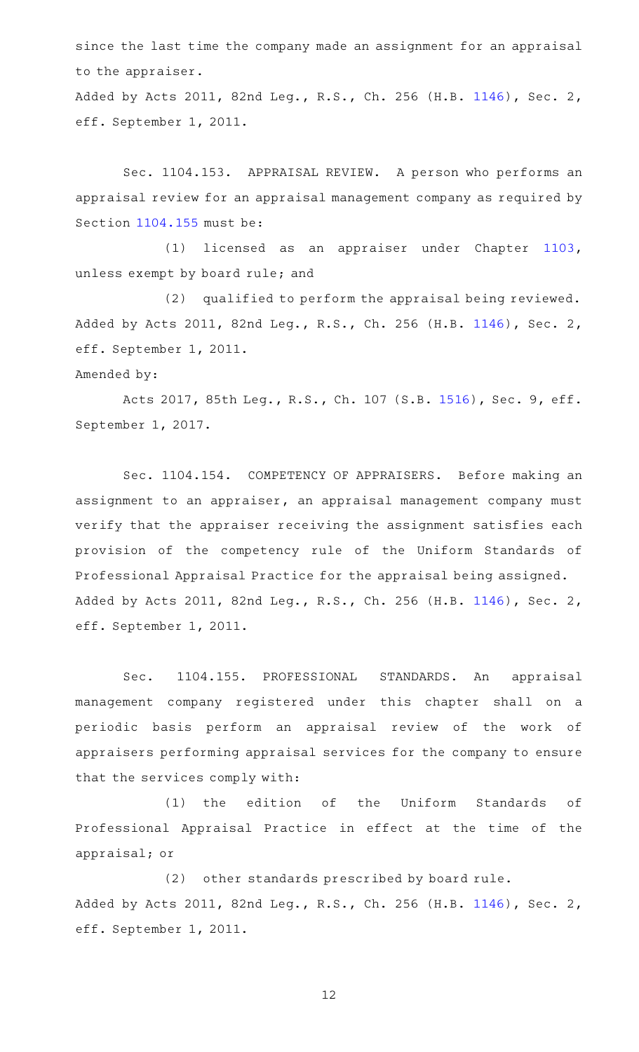since the last time the company made an assignment for an appraisal to the appraiser.

Added by Acts 2011, 82nd Leg., R.S., Ch. 256 (H.B. [1146](http://www.legis.state.tx.us/tlodocs/82R/billtext/html/HB01146F.HTM)), Sec. 2, eff. September 1, 2011.

Sec. 1104.153. APPRAISAL REVIEW. A person who performs an appraisal review for an appraisal management company as required by Section [1104.155](http://www.statutes.legis.state.tx.us/GetStatute.aspx?Code=OC&Value=1104.155) must be:

(1) licensed as an appraiser under Chapter [1103](http://www.statutes.legis.state.tx.us/GetStatute.aspx?Code=OC&Value=1103), unless exempt by board rule; and

(2) qualified to perform the appraisal being reviewed. Added by Acts 2011, 82nd Leg., R.S., Ch. 256 (H.B. [1146](http://www.legis.state.tx.us/tlodocs/82R/billtext/html/HB01146F.HTM)), Sec. 2, eff. September 1, 2011.

## Amended by:

Acts 2017, 85th Leg., R.S., Ch. 107 (S.B. [1516](http://www.legis.state.tx.us/tlodocs/85R/billtext/html/SB01516F.HTM)), Sec. 9, eff. September 1, 2017.

Sec. 1104.154. COMPETENCY OF APPRAISERS. Before making an assignment to an appraiser, an appraisal management company must verify that the appraiser receiving the assignment satisfies each provision of the competency rule of the Uniform Standards of Professional Appraisal Practice for the appraisal being assigned. Added by Acts 2011, 82nd Leg., R.S., Ch. 256 (H.B. [1146](http://www.legis.state.tx.us/tlodocs/82R/billtext/html/HB01146F.HTM)), Sec. 2, eff. September 1, 2011.

Sec. 1104.155. PROFESSIONAL STANDARDS. An appraisal management company registered under this chapter shall on a periodic basis perform an appraisal review of the work of appraisers performing appraisal services for the company to ensure that the services comply with:

(1) the edition of the Uniform Standards of Professional Appraisal Practice in effect at the time of the appraisal; or

(2) other standards prescribed by board rule. Added by Acts 2011, 82nd Leg., R.S., Ch. 256 (H.B. [1146](http://www.legis.state.tx.us/tlodocs/82R/billtext/html/HB01146F.HTM)), Sec. 2, eff. September 1, 2011.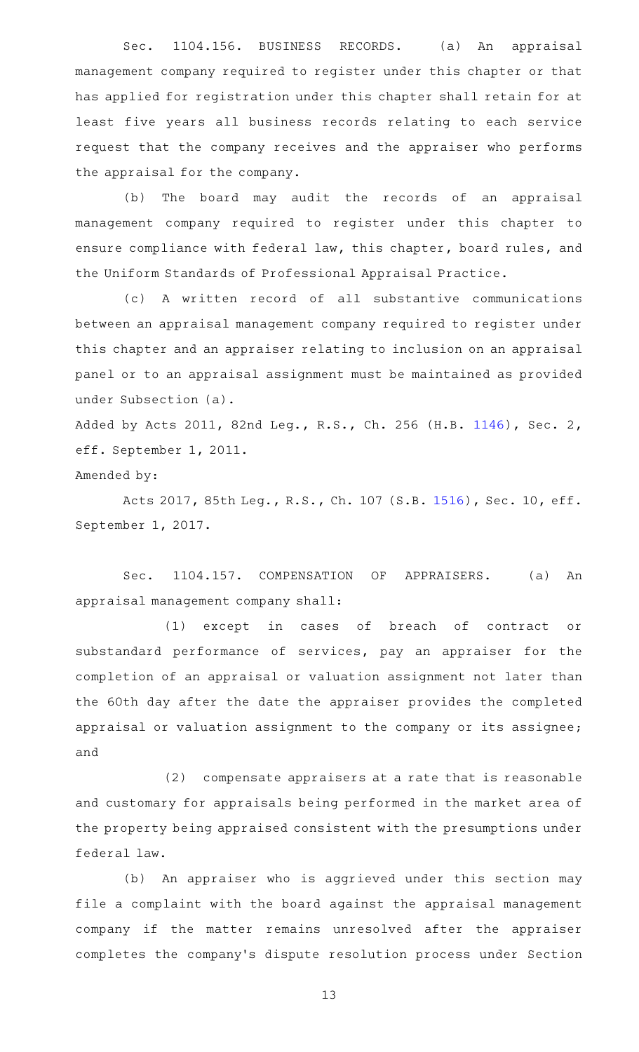Sec. 1104.156. BUSINESS RECORDS. (a) An appraisal management company required to register under this chapter or that has applied for registration under this chapter shall retain for at least five years all business records relating to each service request that the company receives and the appraiser who performs the appraisal for the company.

(b) The board may audit the records of an appraisal management company required to register under this chapter to ensure compliance with federal law, this chapter, board rules, and the Uniform Standards of Professional Appraisal Practice.

(c)AAA written record of all substantive communications between an appraisal management company required to register under this chapter and an appraiser relating to inclusion on an appraisal panel or to an appraisal assignment must be maintained as provided under Subsection (a).

Added by Acts 2011, 82nd Leg., R.S., Ch. 256 (H.B. [1146](http://www.legis.state.tx.us/tlodocs/82R/billtext/html/HB01146F.HTM)), Sec. 2, eff. September 1, 2011.

Amended by:

Acts 2017, 85th Leg., R.S., Ch. 107 (S.B. [1516\)](http://www.legis.state.tx.us/tlodocs/85R/billtext/html/SB01516F.HTM), Sec. 10, eff. September 1, 2017.

Sec. 1104.157. COMPENSATION OF APPRAISERS. (a) An appraisal management company shall:

(1) except in cases of breach of contract or substandard performance of services, pay an appraiser for the completion of an appraisal or valuation assignment not later than the 60th day after the date the appraiser provides the completed appraisal or valuation assignment to the company or its assignee; and

(2) compensate appraisers at a rate that is reasonable and customary for appraisals being performed in the market area of the property being appraised consistent with the presumptions under federal law.

(b) An appraiser who is aggrieved under this section may file a complaint with the board against the appraisal management company if the matter remains unresolved after the appraiser completes the company 's dispute resolution process under Section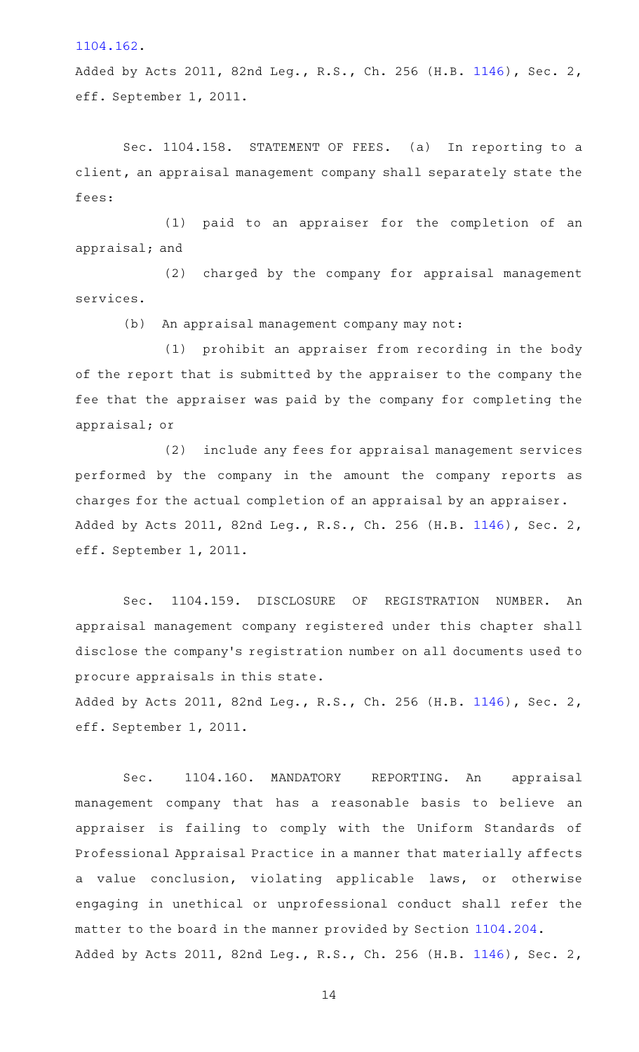[1104.162](http://www.statutes.legis.state.tx.us/GetStatute.aspx?Code=OC&Value=1104.162).

Added by Acts 2011, 82nd Leg., R.S., Ch. 256 (H.B. [1146](http://www.legis.state.tx.us/tlodocs/82R/billtext/html/HB01146F.HTM)), Sec. 2, eff. September 1, 2011.

Sec. 1104.158. STATEMENT OF FEES. (a) In reporting to a client, an appraisal management company shall separately state the fees:

(1) paid to an appraiser for the completion of an appraisal; and

(2) charged by the company for appraisal management services.

(b) An appraisal management company may not:

(1) prohibit an appraiser from recording in the body of the report that is submitted by the appraiser to the company the fee that the appraiser was paid by the company for completing the appraisal; or

(2) include any fees for appraisal management services performed by the company in the amount the company reports as charges for the actual completion of an appraisal by an appraiser. Added by Acts 2011, 82nd Leg., R.S., Ch. 256 (H.B. [1146](http://www.legis.state.tx.us/tlodocs/82R/billtext/html/HB01146F.HTM)), Sec. 2, eff. September 1, 2011.

Sec. 1104.159. DISCLOSURE OF REGISTRATION NUMBER. An appraisal management company registered under this chapter shall disclose the company 's registration number on all documents used to procure appraisals in this state.

Added by Acts 2011, 82nd Leg., R.S., Ch. 256 (H.B. [1146](http://www.legis.state.tx.us/tlodocs/82R/billtext/html/HB01146F.HTM)), Sec. 2, eff. September 1, 2011.

Sec. 1104.160. MANDATORY REPORTING. An appraisal management company that has a reasonable basis to believe an appraiser is failing to comply with the Uniform Standards of Professional Appraisal Practice in a manner that materially affects a value conclusion, violating applicable laws, or otherwise engaging in unethical or unprofessional conduct shall refer the matter to the board in the manner provided by Section [1104.204.](http://www.statutes.legis.state.tx.us/GetStatute.aspx?Code=OC&Value=1104.204) Added by Acts 2011, 82nd Leg., R.S., Ch. 256 (H.B. [1146](http://www.legis.state.tx.us/tlodocs/82R/billtext/html/HB01146F.HTM)), Sec. 2,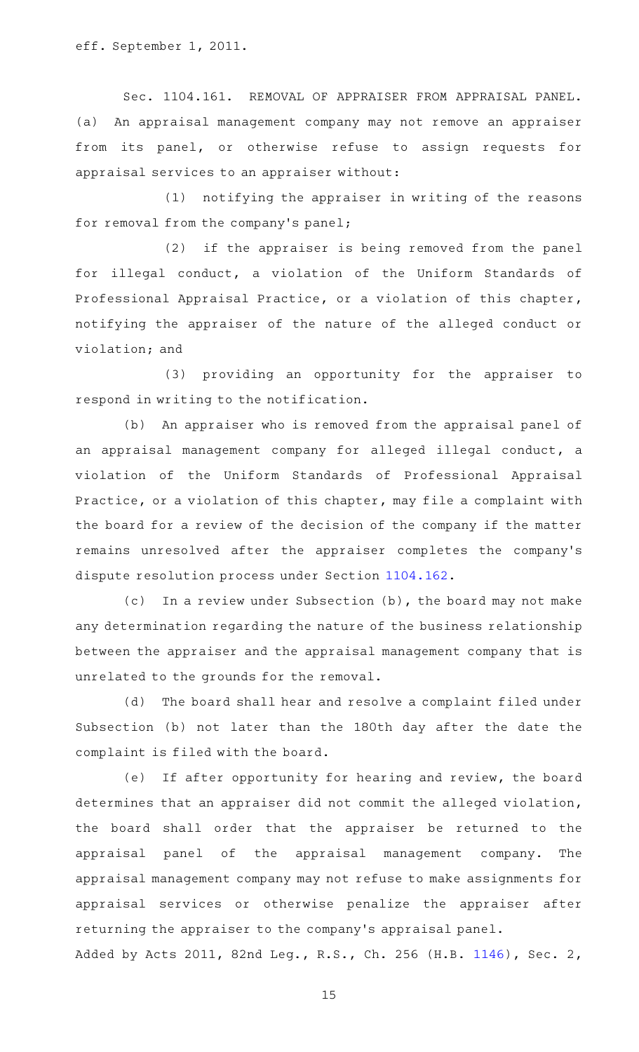eff. September 1, 2011.

Sec. 1104.161. REMOVAL OF APPRAISER FROM APPRAISAL PANEL. (a) An appraisal management company may not remove an appraiser from its panel, or otherwise refuse to assign requests for appraisal services to an appraiser without:

 $(1)$  notifying the appraiser in writing of the reasons for removal from the company's panel;

 $(2)$  if the appraiser is being removed from the panel for illegal conduct, a violation of the Uniform Standards of Professional Appraisal Practice, or a violation of this chapter, notifying the appraiser of the nature of the alleged conduct or violation; and

(3) providing an opportunity for the appraiser to respond in writing to the notification.

(b) An appraiser who is removed from the appraisal panel of an appraisal management company for alleged illegal conduct, a violation of the Uniform Standards of Professional Appraisal Practice, or a violation of this chapter, may file a complaint with the board for a review of the decision of the company if the matter remains unresolved after the appraiser completes the company 's dispute resolution process under Section [1104.162](http://www.statutes.legis.state.tx.us/GetStatute.aspx?Code=OC&Value=1104.162).

(c) In a review under Subsection (b), the board may not make any determination regarding the nature of the business relationship between the appraiser and the appraisal management company that is unrelated to the grounds for the removal.

(d) The board shall hear and resolve a complaint filed under Subsection (b) not later than the 180th day after the date the complaint is filed with the board.

(e) If after opportunity for hearing and review, the board determines that an appraiser did not commit the alleged violation, the board shall order that the appraiser be returned to the appraisal panel of the appraisal management company. The appraisal management company may not refuse to make assignments for appraisal services or otherwise penalize the appraiser after returning the appraiser to the company 's appraisal panel. Added by Acts 2011, 82nd Leg., R.S., Ch. 256 (H.B. [1146](http://www.legis.state.tx.us/tlodocs/82R/billtext/html/HB01146F.HTM)), Sec. 2,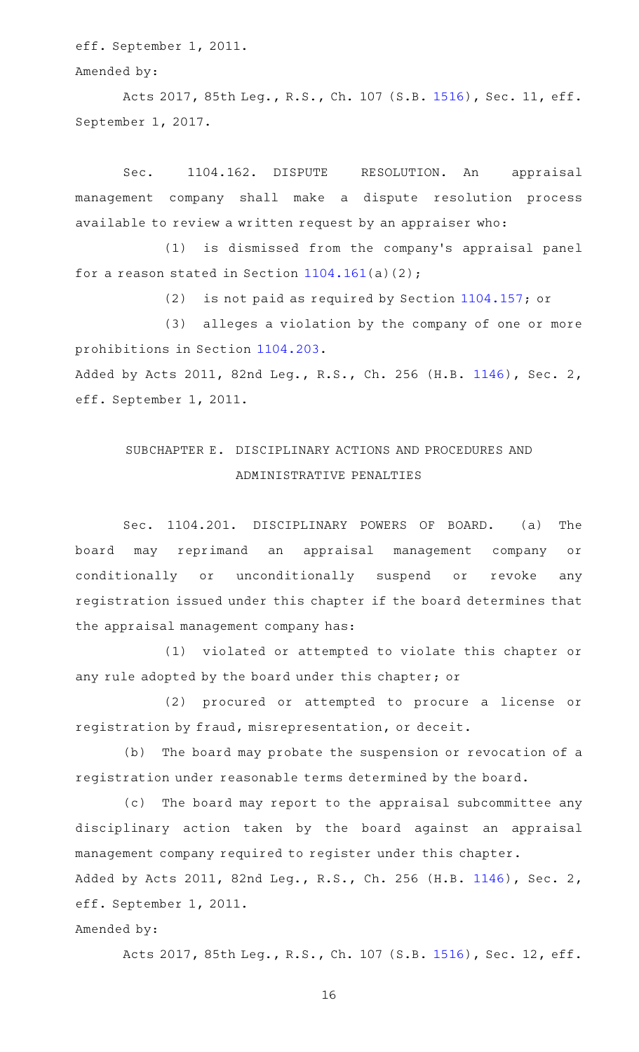eff. September 1, 2011.

Amended by:

Acts 2017, 85th Leg., R.S., Ch. 107 (S.B. [1516\)](http://www.legis.state.tx.us/tlodocs/85R/billtext/html/SB01516F.HTM), Sec. 11, eff. September 1, 2017.

Sec. 1104.162. DISPUTE RESOLUTION. An appraisal management company shall make a dispute resolution process available to review a written request by an appraiser who:

(1) is dismissed from the company's appraisal panel for a reason stated in Section  $1104.161(a)(2)$  $1104.161(a)(2)$ ;

(2) is not paid as required by Section  $1104.157$ ; or

(3) alleges a violation by the company of one or more prohibitions in Section [1104.203.](http://www.statutes.legis.state.tx.us/GetStatute.aspx?Code=OC&Value=1104.203) Added by Acts 2011, 82nd Leg., R.S., Ch. 256 (H.B. [1146](http://www.legis.state.tx.us/tlodocs/82R/billtext/html/HB01146F.HTM)), Sec. 2, eff. September 1, 2011.

# SUBCHAPTER E. DISCIPLINARY ACTIONS AND PROCEDURES AND ADMINISTRATIVE PENALTIES

Sec. 1104.201. DISCIPLINARY POWERS OF BOARD. (a) The board may reprimand an appraisal management company or conditionally or unconditionally suspend or revoke any registration issued under this chapter if the board determines that the appraisal management company has:

(1) violated or attempted to violate this chapter or any rule adopted by the board under this chapter; or

(2) procured or attempted to procure a license or registration by fraud, misrepresentation, or deceit.

(b) The board may probate the suspension or revocation of a registration under reasonable terms determined by the board.

(c) The board may report to the appraisal subcommittee any disciplinary action taken by the board against an appraisal management company required to register under this chapter. Added by Acts 2011, 82nd Leg., R.S., Ch. 256 (H.B. [1146](http://www.legis.state.tx.us/tlodocs/82R/billtext/html/HB01146F.HTM)), Sec. 2, eff. September 1, 2011.

Amended by:

Acts 2017, 85th Leg., R.S., Ch. 107 (S.B. [1516\)](http://www.legis.state.tx.us/tlodocs/85R/billtext/html/SB01516F.HTM), Sec. 12, eff.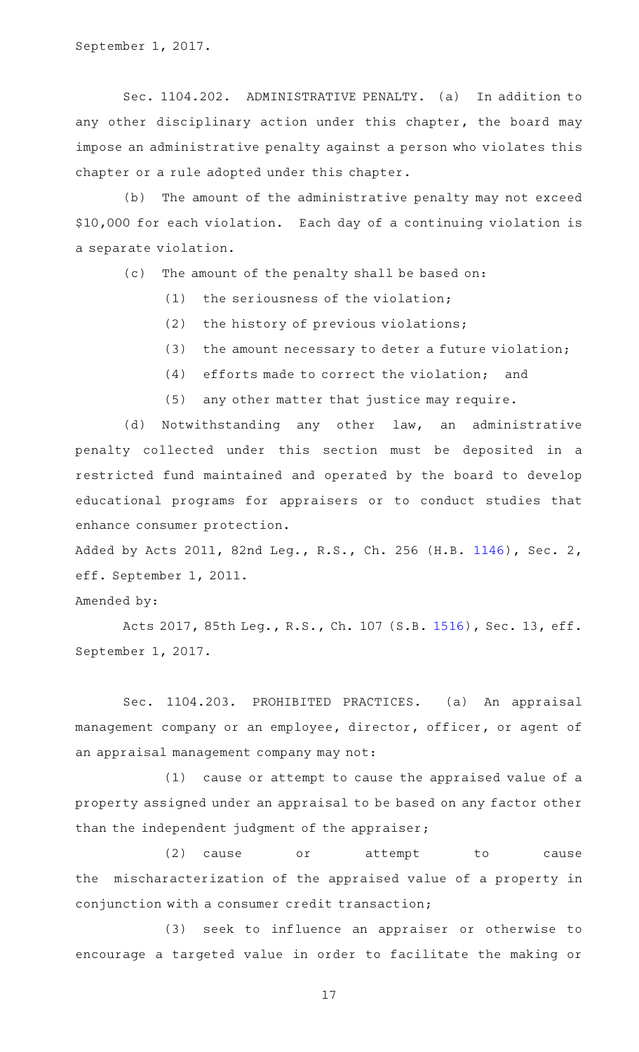Sec. 1104.202. ADMINISTRATIVE PENALTY. (a) In addition to any other disciplinary action under this chapter, the board may impose an administrative penalty against a person who violates this chapter or a rule adopted under this chapter.

(b) The amount of the administrative penalty may not exceed \$10,000 for each violation. Each day of a continuing violation is a separate violation.

(c) The amount of the penalty shall be based on:

- $(1)$  the seriousness of the violation;
- $(2)$  the history of previous violations;
- (3) the amount necessary to deter a future violation;
- $(4)$  efforts made to correct the violation; and
- (5) any other matter that justice may require.

(d) Notwithstanding any other law, an administrative penalty collected under this section must be deposited in a restricted fund maintained and operated by the board to develop educational programs for appraisers or to conduct studies that enhance consumer protection.

Added by Acts 2011, 82nd Leg., R.S., Ch. 256 (H.B. [1146](http://www.legis.state.tx.us/tlodocs/82R/billtext/html/HB01146F.HTM)), Sec. 2, eff. September 1, 2011.

Amended by:

Acts 2017, 85th Leg., R.S., Ch. 107 (S.B. [1516\)](http://www.legis.state.tx.us/tlodocs/85R/billtext/html/SB01516F.HTM), Sec. 13, eff. September 1, 2017.

Sec. 1104.203. PROHIBITED PRACTICES. (a) An appraisal management company or an employee, director, officer, or agent of an appraisal management company may not:

 $(1)$  cause or attempt to cause the appraised value of a property assigned under an appraisal to be based on any factor other than the independent judgment of the appraiser;

(2) cause or attempt to cause the mischaracterization of the appraised value of a property in conjunction with a consumer credit transaction;

(3) seek to influence an appraiser or otherwise to encourage a targeted value in order to facilitate the making or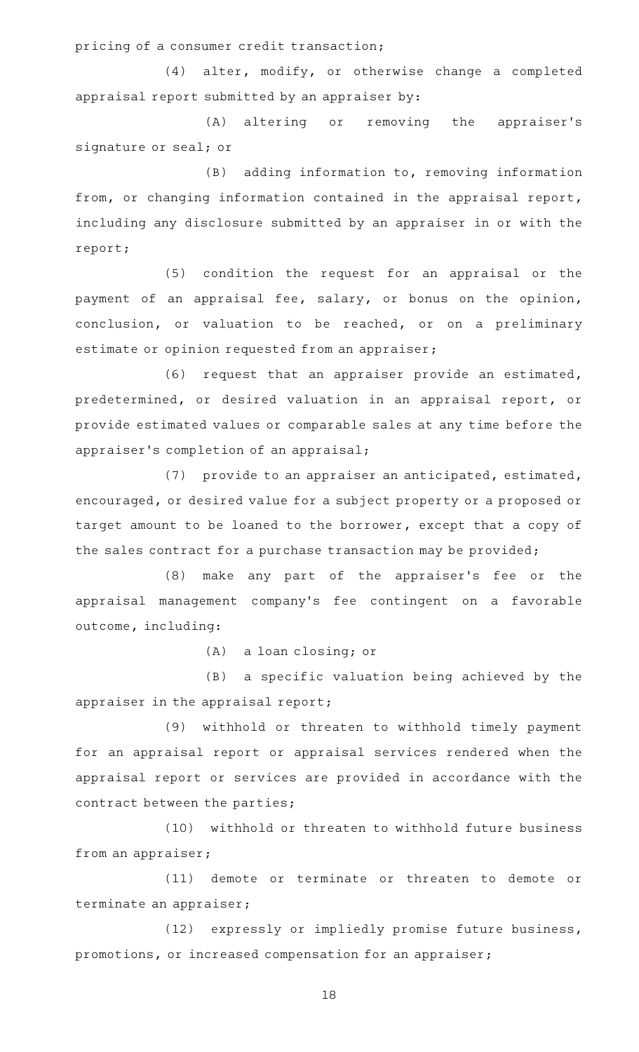pricing of a consumer credit transaction;

 $(4)$  alter, modify, or otherwise change a completed appraisal report submitted by an appraiser by:

(A) altering or removing the appraiser's signature or seal; or

 $(B)$  adding information to, removing information from, or changing information contained in the appraisal report, including any disclosure submitted by an appraiser in or with the report;

(5) condition the request for an appraisal or the payment of an appraisal fee, salary, or bonus on the opinion, conclusion, or valuation to be reached, or on a preliminary estimate or opinion requested from an appraiser;

(6) request that an appraiser provide an estimated, predetermined, or desired valuation in an appraisal report, or provide estimated values or comparable sales at any time before the appraiser 's completion of an appraisal;

(7) provide to an appraiser an anticipated, estimated, encouraged, or desired value for a subject property or a proposed or target amount to be loaned to the borrower, except that a copy of the sales contract for a purchase transaction may be provided;

(8) make any part of the appraiser's fee or the appraisal management company 's fee contingent on a favorable outcome, including:

 $(A)$  a loan closing; or

(B) a specific valuation being achieved by the appraiser in the appraisal report;

(9) withhold or threaten to withhold timely payment for an appraisal report or appraisal services rendered when the appraisal report or services are provided in accordance with the contract between the parties;

(10) withhold or threaten to withhold future business from an appraiser;

(11) demote or terminate or threaten to demote or terminate an appraiser;

(12) expressly or impliedly promise future business, promotions, or increased compensation for an appraiser;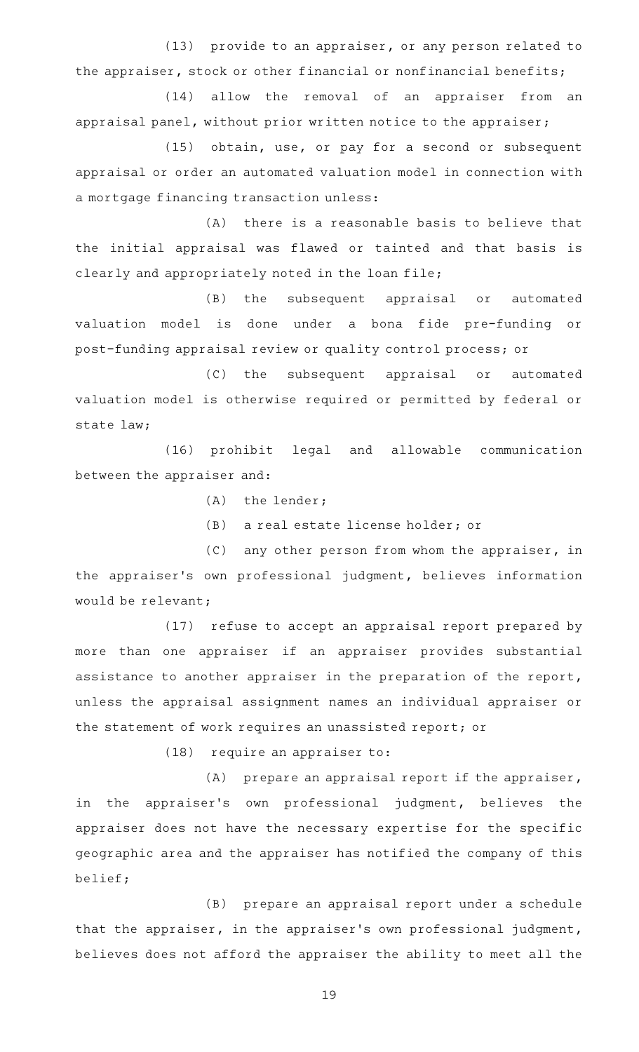(13) provide to an appraiser, or any person related to the appraiser, stock or other financial or nonfinancial benefits;

(14) allow the removal of an appraiser from an appraisal panel, without prior written notice to the appraiser;

(15) obtain, use, or pay for a second or subsequent appraisal or order an automated valuation model in connection with a mortgage financing transaction unless:

(A) there is a reasonable basis to believe that the initial appraisal was flawed or tainted and that basis is clearly and appropriately noted in the loan file;

(B) the subsequent appraisal or automated valuation model is done under a bona fide pre-funding or post-funding appraisal review or quality control process; or

(C) the subsequent appraisal or automated valuation model is otherwise required or permitted by federal or state law;

(16) prohibit legal and allowable communication between the appraiser and:

 $(A)$  the lender;

(B) a real estate license holder; or

 $(C)$  any other person from whom the appraiser, in the appraiser 's own professional judgment, believes information would be relevant;

(17) refuse to accept an appraisal report prepared by more than one appraiser if an appraiser provides substantial assistance to another appraiser in the preparation of the report, unless the appraisal assignment names an individual appraiser or the statement of work requires an unassisted report; or

 $(18)$  require an appraiser to:

 $(A)$  prepare an appraisal report if the appraiser, in the appraiser's own professional judgment, believes the appraiser does not have the necessary expertise for the specific geographic area and the appraiser has notified the company of this belief;

(B) prepare an appraisal report under a schedule that the appraiser, in the appraiser 's own professional judgment, believes does not afford the appraiser the ability to meet all the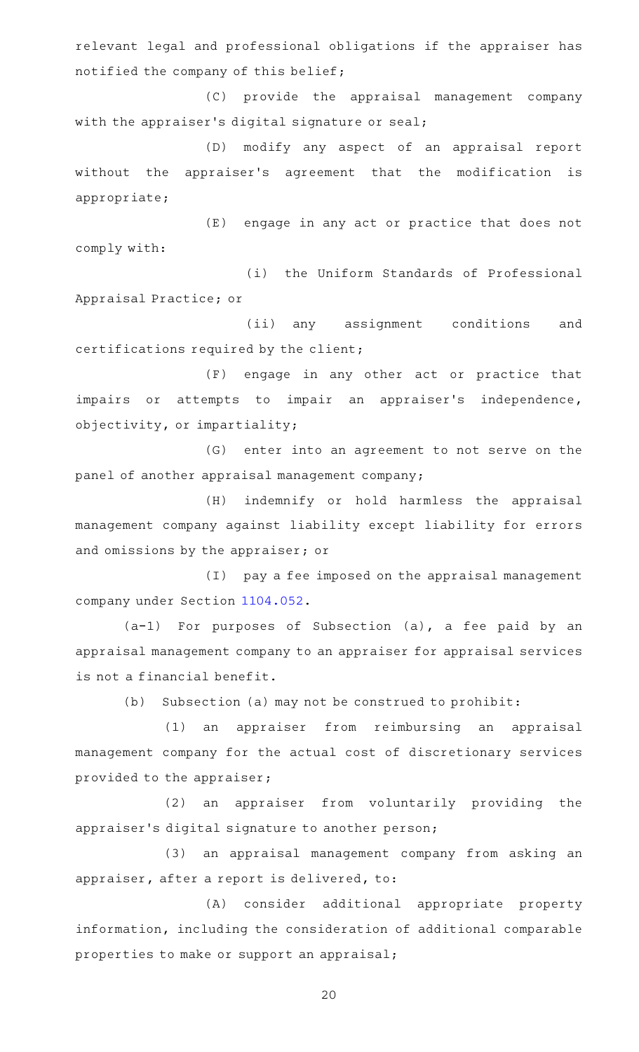relevant legal and professional obligations if the appraiser has notified the company of this belief;

(C) provide the appraisal management company with the appraiser 's digital signature or seal;

(D) modify any aspect of an appraisal report without the appraiser's agreement that the modification is appropriate;

(E) engage in any act or practice that does not comply with:

(i) the Uniform Standards of Professional Appraisal Practice; or

(ii) any assignment conditions and certifications required by the client;

(F) engage in any other act or practice that impairs or attempts to impair an appraiser's independence, objectivity, or impartiality;

(G) enter into an agreement to not serve on the panel of another appraisal management company;

(H) indemnify or hold harmless the appraisal management company against liability except liability for errors and omissions by the appraiser; or

(I) pay a fee imposed on the appraisal management company under Section [1104.052.](http://www.statutes.legis.state.tx.us/GetStatute.aspx?Code=OC&Value=1104.052)

 $(a-1)$  For purposes of Subsection  $(a)$ , a fee paid by an appraisal management company to an appraiser for appraisal services is not a financial benefit.

(b) Subsection (a) may not be construed to prohibit:

(1) an appraiser from reimbursing an appraisal management company for the actual cost of discretionary services provided to the appraiser;

(2) an appraiser from voluntarily providing the appraiser 's digital signature to another person;

(3) an appraisal management company from asking an appraiser, after a report is delivered, to:

(A) consider additional appropriate property information, including the consideration of additional comparable properties to make or support an appraisal;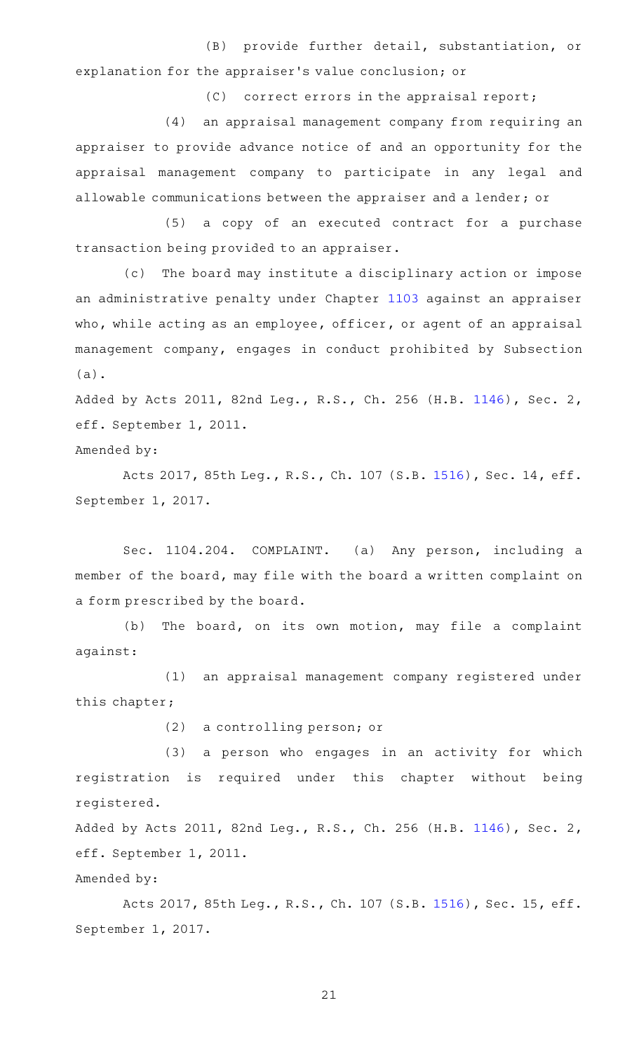(B) provide further detail, substantiation, or explanation for the appraiser 's value conclusion; or

 $(C)$  correct errors in the appraisal report;

(4) an appraisal management company from requiring an appraiser to provide advance notice of and an opportunity for the appraisal management company to participate in any legal and allowable communications between the appraiser and a lender; or

(5) a copy of an executed contract for a purchase transaction being provided to an appraiser.

(c) The board may institute a disciplinary action or impose an administrative penalty under Chapter [1103](http://www.statutes.legis.state.tx.us/GetStatute.aspx?Code=OC&Value=1103) against an appraiser who, while acting as an employee, officer, or agent of an appraisal management company, engages in conduct prohibited by Subsection (a).

Added by Acts 2011, 82nd Leg., R.S., Ch. 256 (H.B. [1146](http://www.legis.state.tx.us/tlodocs/82R/billtext/html/HB01146F.HTM)), Sec. 2, eff. September 1, 2011.

Amended by:

Acts 2017, 85th Leg., R.S., Ch. 107 (S.B. [1516\)](http://www.legis.state.tx.us/tlodocs/85R/billtext/html/SB01516F.HTM), Sec. 14, eff. September 1, 2017.

Sec. 1104.204. COMPLAINT. (a) Any person, including a member of the board, may file with the board a written complaint on a form prescribed by the board.

(b) The board, on its own motion, may file a complaint against:

(1) an appraisal management company registered under this chapter;

(2) a controlling person; or

(3) a person who engages in an activity for which registration is required under this chapter without being registered.

Added by Acts 2011, 82nd Leg., R.S., Ch. 256 (H.B. [1146](http://www.legis.state.tx.us/tlodocs/82R/billtext/html/HB01146F.HTM)), Sec. 2, eff. September 1, 2011.

Amended by:

Acts 2017, 85th Leg., R.S., Ch. 107 (S.B. [1516\)](http://www.legis.state.tx.us/tlodocs/85R/billtext/html/SB01516F.HTM), Sec. 15, eff. September 1, 2017.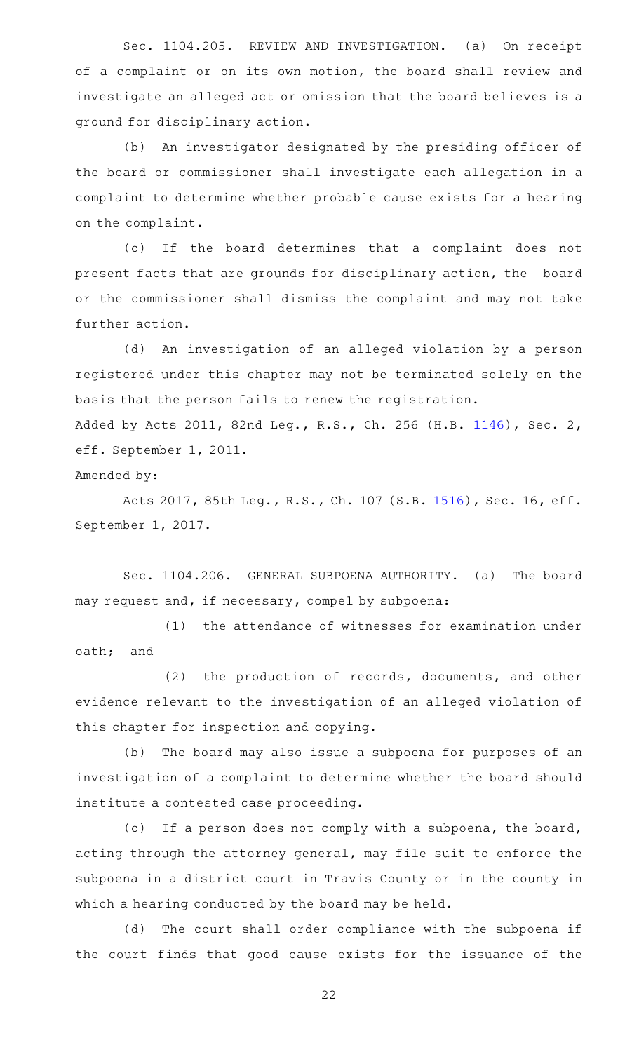Sec. 1104.205. REVIEW AND INVESTIGATION. (a) On receipt of a complaint or on its own motion, the board shall review and investigate an alleged act or omission that the board believes is a ground for disciplinary action.

(b) An investigator designated by the presiding officer of the board or commissioner shall investigate each allegation in a complaint to determine whether probable cause exists for a hearing on the complaint.

(c) If the board determines that a complaint does not present facts that are grounds for disciplinary action, the board or the commissioner shall dismiss the complaint and may not take further action.

(d) An investigation of an alleged violation by a person registered under this chapter may not be terminated solely on the basis that the person fails to renew the registration. Added by Acts 2011, 82nd Leg., R.S., Ch. 256 (H.B. [1146](http://www.legis.state.tx.us/tlodocs/82R/billtext/html/HB01146F.HTM)), Sec. 2,

eff. September 1, 2011.

Amended by:

Acts 2017, 85th Leg., R.S., Ch. 107 (S.B. [1516\)](http://www.legis.state.tx.us/tlodocs/85R/billtext/html/SB01516F.HTM), Sec. 16, eff. September 1, 2017.

Sec. 1104.206. GENERAL SUBPOENA AUTHORITY. (a) The board may request and, if necessary, compel by subpoena:

(1) the attendance of witnesses for examination under oath; and

(2) the production of records, documents, and other evidence relevant to the investigation of an alleged violation of this chapter for inspection and copying.

(b) The board may also issue a subpoena for purposes of an investigation of a complaint to determine whether the board should institute a contested case proceeding.

(c) If a person does not comply with a subpoena, the board, acting through the attorney general, may file suit to enforce the subpoena in a district court in Travis County or in the county in which a hearing conducted by the board may be held.

(d) The court shall order compliance with the subpoena if the court finds that good cause exists for the issuance of the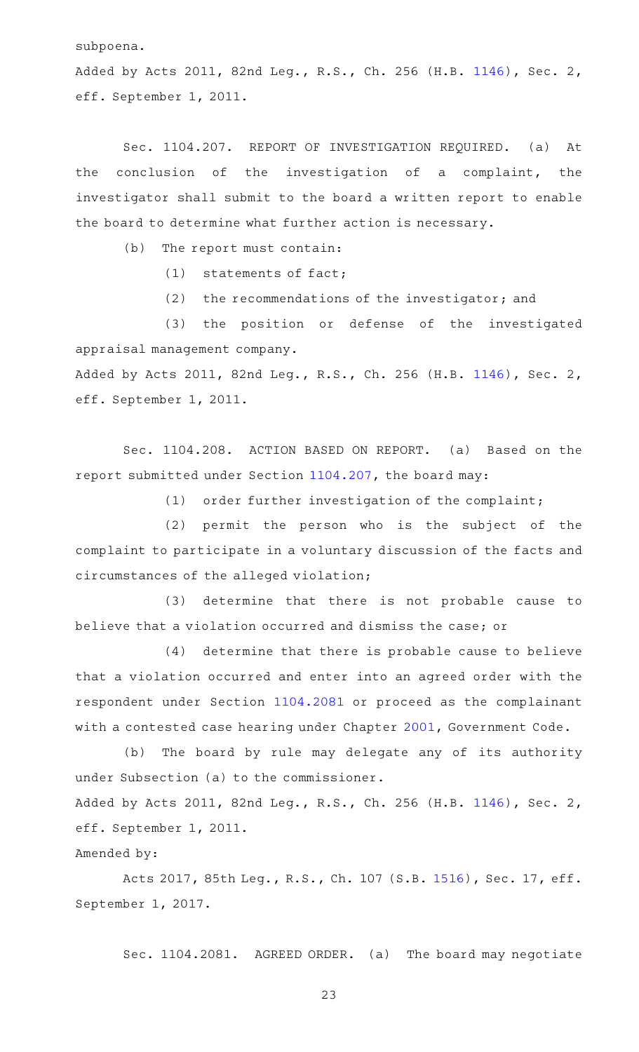subpoena.

Added by Acts 2011, 82nd Leg., R.S., Ch. 256 (H.B. [1146](http://www.legis.state.tx.us/tlodocs/82R/billtext/html/HB01146F.HTM)), Sec. 2, eff. September 1, 2011.

Sec. 1104.207. REPORT OF INVESTIGATION REQUIRED. (a) At the conclusion of the investigation of a complaint, the investigator shall submit to the board a written report to enable the board to determine what further action is necessary.

 $(b)$  The report must contain:

 $(1)$  statements of fact;

 $(2)$  the recommendations of the investigator; and

(3) the position or defense of the investigated appraisal management company. Added by Acts 2011, 82nd Leg., R.S., Ch. 256 (H.B. [1146](http://www.legis.state.tx.us/tlodocs/82R/billtext/html/HB01146F.HTM)), Sec. 2,

eff. September 1, 2011.

Sec. 1104.208. ACTION BASED ON REPORT. (a) Based on the report submitted under Section [1104.207](http://www.statutes.legis.state.tx.us/GetStatute.aspx?Code=OC&Value=1104.207), the board may:

(1) order further investigation of the complaint;

(2) permit the person who is the subject of the complaint to participate in a voluntary discussion of the facts and circumstances of the alleged violation;

(3) determine that there is not probable cause to believe that a violation occurred and dismiss the case; or

(4) determine that there is probable cause to believe that a violation occurred and enter into an agreed order with the respondent under Section [1104.2081](http://www.statutes.legis.state.tx.us/GetStatute.aspx?Code=OC&Value=1104.2081) or proceed as the complainant with a contested case hearing under Chapter [2001,](http://www.statutes.legis.state.tx.us/GetStatute.aspx?Code=GV&Value=2001) Government Code.

(b) The board by rule may delegate any of its authority under Subsection (a) to the commissioner. Added by Acts 2011, 82nd Leg., R.S., Ch. 256 (H.B. [1146](http://www.legis.state.tx.us/tlodocs/82R/billtext/html/HB01146F.HTM)), Sec. 2,

eff. September 1, 2011.

Amended by:

Acts 2017, 85th Leg., R.S., Ch. 107 (S.B. [1516\)](http://www.legis.state.tx.us/tlodocs/85R/billtext/html/SB01516F.HTM), Sec. 17, eff. September 1, 2017.

Sec. 1104.2081. AGREED ORDER. (a) The board may negotiate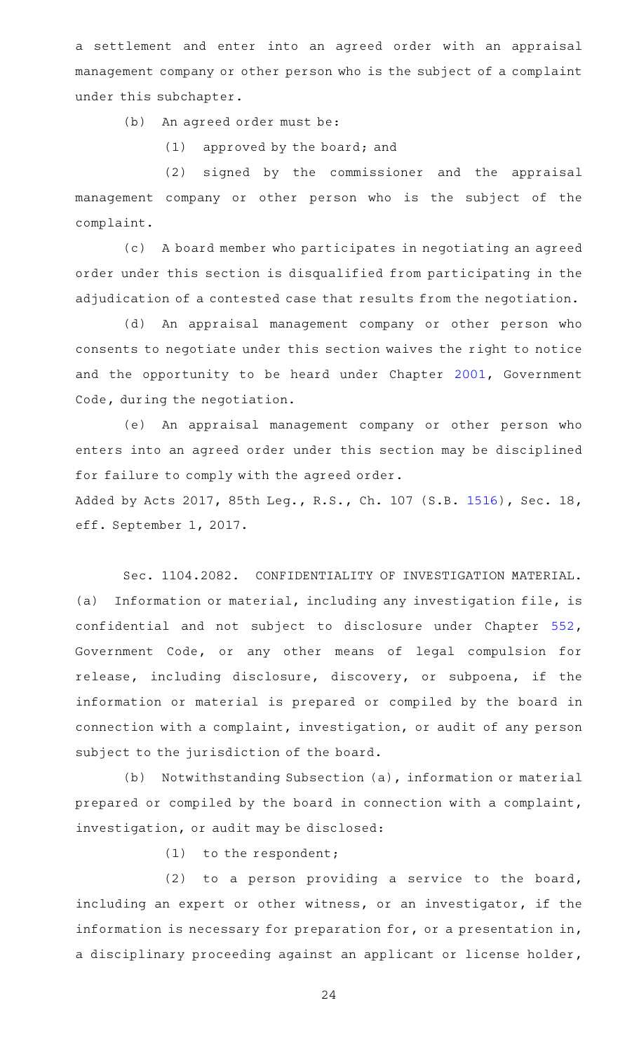a settlement and enter into an agreed order with an appraisal management company or other person who is the subject of a complaint under this subchapter.

(b) An agreed order must be:

 $(1)$  approved by the board; and

(2) signed by the commissioner and the appraisal management company or other person who is the subject of the complaint.

(c) A board member who participates in negotiating an agreed order under this section is disqualified from participating in the adjudication of a contested case that results from the negotiation.

(d) An appraisal management company or other person who consents to negotiate under this section waives the right to notice and the opportunity to be heard under Chapter [2001](http://www.statutes.legis.state.tx.us/GetStatute.aspx?Code=GV&Value=2001), Government Code, during the negotiation.

(e) An appraisal management company or other person who enters into an agreed order under this section may be disciplined for failure to comply with the agreed order.

Added by Acts 2017, 85th Leg., R.S., Ch. 107 (S.B. [1516\)](http://www.legis.state.tx.us/tlodocs/85R/billtext/html/SB01516F.HTM), Sec. 18, eff. September 1, 2017.

Sec. 1104.2082. CONFIDENTIALITY OF INVESTIGATION MATERIAL. (a) Information or material, including any investigation file, is confidential and not subject to disclosure under Chapter [552](http://www.statutes.legis.state.tx.us/GetStatute.aspx?Code=GV&Value=552), Government Code, or any other means of legal compulsion for release, including disclosure, discovery, or subpoena, if the information or material is prepared or compiled by the board in connection with a complaint, investigation, or audit of any person subject to the jurisdiction of the board.

(b) Notwithstanding Subsection (a), information or material prepared or compiled by the board in connection with a complaint, investigation, or audit may be disclosed:

 $(1)$  to the respondent;

 $(2)$  to a person providing a service to the board, including an expert or other witness, or an investigator, if the information is necessary for preparation for, or a presentation in, a disciplinary proceeding against an applicant or license holder,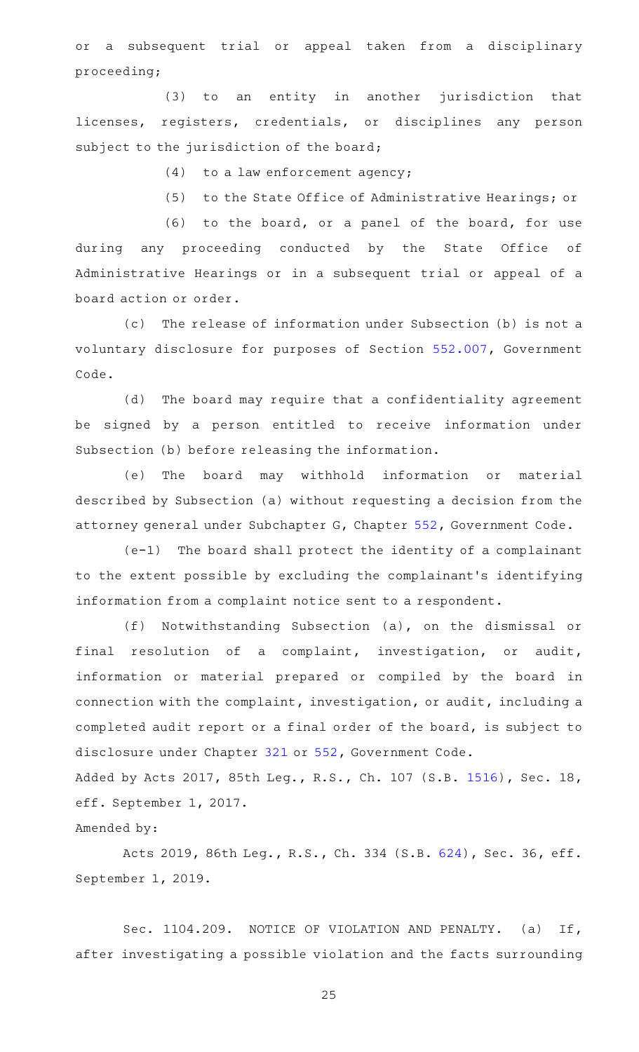or a subsequent trial or appeal taken from a disciplinary proceeding;

(3) to an entity in another jurisdiction that licenses, registers, credentials, or disciplines any person subject to the jurisdiction of the board;

 $(4)$  to a law enforcement agency;

(5) to the State Office of Administrative Hearings; or

(6) to the board, or a panel of the board, for use during any proceeding conducted by the State Office of Administrative Hearings or in a subsequent trial or appeal of a board action or order.

(c) The release of information under Subsection (b) is not a voluntary disclosure for purposes of Section [552.007,](http://www.statutes.legis.state.tx.us/GetStatute.aspx?Code=GV&Value=552.007) Government Code.

(d) The board may require that a confidentiality agreement be signed by a person entitled to receive information under Subsection (b) before releasing the information.

(e) The board may withhold information or material described by Subsection (a) without requesting a decision from the attorney general under Subchapter G, Chapter [552](http://www.statutes.legis.state.tx.us/GetStatute.aspx?Code=GV&Value=552), Government Code.

 $(e-1)$  The board shall protect the identity of a complainant to the extent possible by excluding the complainant 's identifying information from a complaint notice sent to a respondent.

(f) Notwithstanding Subsection (a), on the dismissal or final resolution of a complaint, investigation, or audit, information or material prepared or compiled by the board in connection with the complaint, investigation, or audit, including a completed audit report or a final order of the board, is subject to disclosure under Chapter [321](http://www.statutes.legis.state.tx.us/GetStatute.aspx?Code=GV&Value=321) or [552,](http://www.statutes.legis.state.tx.us/GetStatute.aspx?Code=GV&Value=552) Government Code.

Added by Acts 2017, 85th Leg., R.S., Ch. 107 (S.B. [1516\)](http://www.legis.state.tx.us/tlodocs/85R/billtext/html/SB01516F.HTM), Sec. 18, eff. September 1, 2017.

Amended by:

Acts 2019, 86th Leg., R.S., Ch. 334 (S.B. [624\)](http://www.legis.state.tx.us/tlodocs/86R/billtext/html/SB00624F.HTM), Sec. 36, eff. September 1, 2019.

Sec. 1104.209. NOTICE OF VIOLATION AND PENALTY. (a) If, after investigating a possible violation and the facts surrounding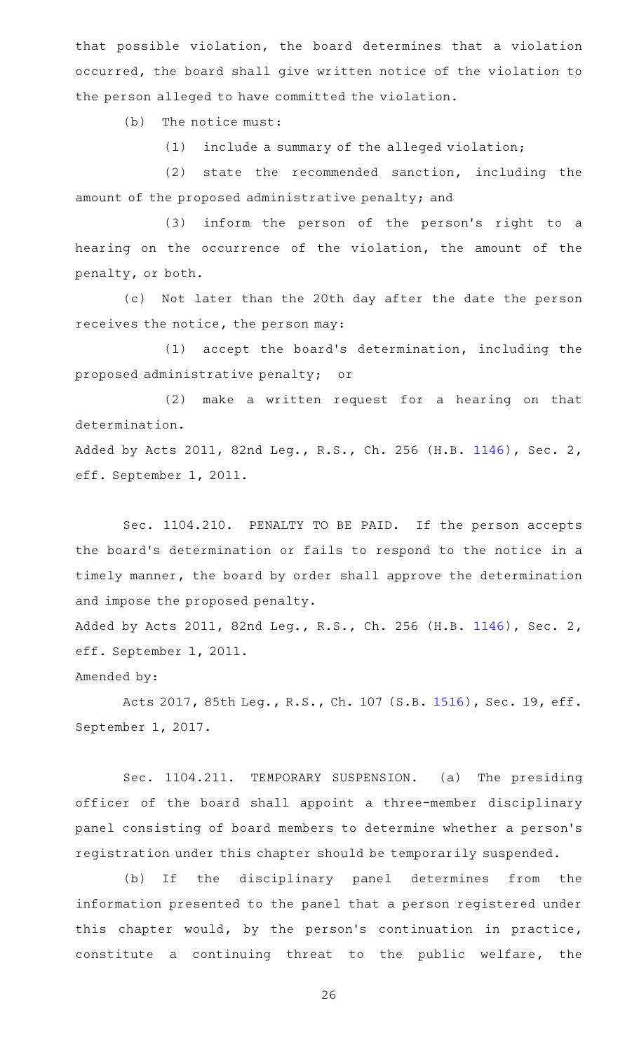that possible violation, the board determines that a violation occurred, the board shall give written notice of the violation to the person alleged to have committed the violation.

 $(b)$  The notice must:

 $(1)$  include a summary of the alleged violation;

(2) state the recommended sanction, including the amount of the proposed administrative penalty; and

(3) inform the person of the person's right to a hearing on the occurrence of the violation, the amount of the penalty, or both.

(c) Not later than the 20th day after the date the person receives the notice, the person may:

(1) accept the board's determination, including the proposed administrative penalty; or

(2) make a written request for a hearing on that determination.

Added by Acts 2011, 82nd Leg., R.S., Ch. 256 (H.B. [1146](http://www.legis.state.tx.us/tlodocs/82R/billtext/html/HB01146F.HTM)), Sec. 2, eff. September 1, 2011.

Sec. 1104.210. PENALTY TO BE PAID. If the person accepts the board's determination or fails to respond to the notice in a timely manner, the board by order shall approve the determination and impose the proposed penalty.

Added by Acts 2011, 82nd Leg., R.S., Ch. 256 (H.B. [1146](http://www.legis.state.tx.us/tlodocs/82R/billtext/html/HB01146F.HTM)), Sec. 2, eff. September 1, 2011.

Amended by:

Acts 2017, 85th Leg., R.S., Ch. 107 (S.B. [1516\)](http://www.legis.state.tx.us/tlodocs/85R/billtext/html/SB01516F.HTM), Sec. 19, eff. September 1, 2017.

Sec. 1104.211. TEMPORARY SUSPENSION. (a) The presiding officer of the board shall appoint a three-member disciplinary panel consisting of board members to determine whether a person 's registration under this chapter should be temporarily suspended.

(b) If the disciplinary panel determines from the information presented to the panel that a person registered under this chapter would, by the person's continuation in practice, constitute a continuing threat to the public welfare, the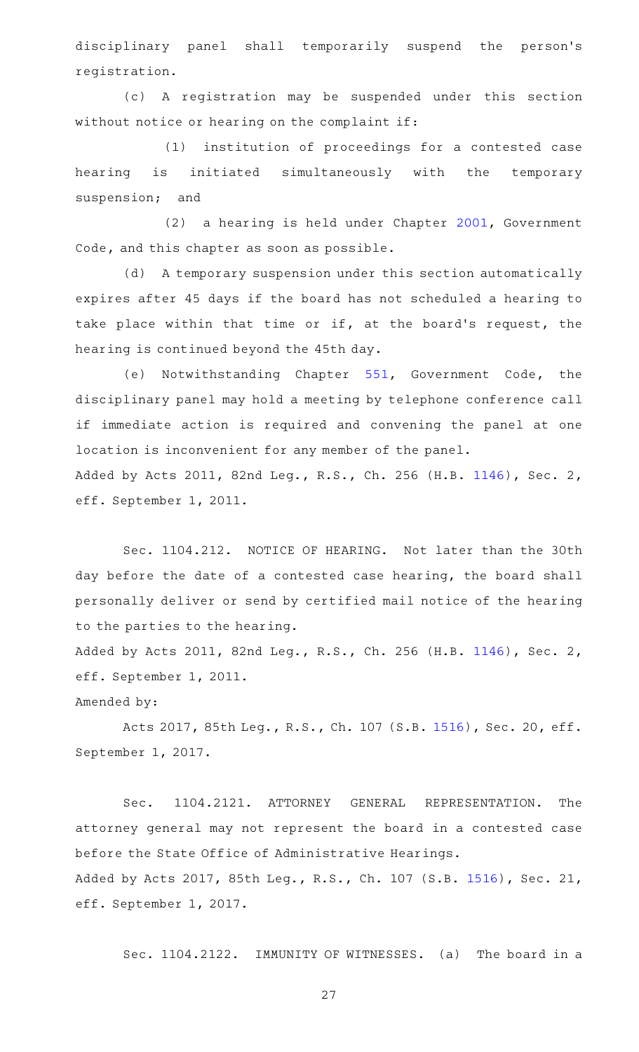disciplinary panel shall temporarily suspend the person's registration.

(c)AAA registration may be suspended under this section without notice or hearing on the complaint if:

(1) institution of proceedings for a contested case hearing is initiated simultaneously with the temporary suspension; and

(2) a hearing is held under Chapter [2001](http://www.statutes.legis.state.tx.us/GetStatute.aspx?Code=GV&Value=2001), Government Code, and this chapter as soon as possible.

(d) A temporary suspension under this section automatically expires after 45 days if the board has not scheduled a hearing to take place within that time or if, at the board's request, the hearing is continued beyond the 45th day.

(e) Notwithstanding Chapter [551](http://www.statutes.legis.state.tx.us/GetStatute.aspx?Code=GV&Value=551), Government Code, the disciplinary panel may hold a meeting by telephone conference call if immediate action is required and convening the panel at one location is inconvenient for any member of the panel. Added by Acts 2011, 82nd Leg., R.S., Ch. 256 (H.B. [1146](http://www.legis.state.tx.us/tlodocs/82R/billtext/html/HB01146F.HTM)), Sec. 2, eff. September 1, 2011.

Sec. 1104.212. NOTICE OF HEARING. Not later than the 30th day before the date of a contested case hearing, the board shall personally deliver or send by certified mail notice of the hearing to the parties to the hearing.

Added by Acts 2011, 82nd Leg., R.S., Ch. 256 (H.B. [1146](http://www.legis.state.tx.us/tlodocs/82R/billtext/html/HB01146F.HTM)), Sec. 2, eff. September 1, 2011.

Amended by:

Acts 2017, 85th Leg., R.S., Ch. 107 (S.B. [1516\)](http://www.legis.state.tx.us/tlodocs/85R/billtext/html/SB01516F.HTM), Sec. 20, eff. September 1, 2017.

Sec. 1104.2121. ATTORNEY GENERAL REPRESENTATION. The attorney general may not represent the board in a contested case before the State Office of Administrative Hearings. Added by Acts 2017, 85th Leg., R.S., Ch. 107 (S.B. [1516\)](http://www.legis.state.tx.us/tlodocs/85R/billtext/html/SB01516F.HTM), Sec. 21, eff. September 1, 2017.

Sec. 1104.2122. IMMUNITY OF WITNESSES. (a) The board in a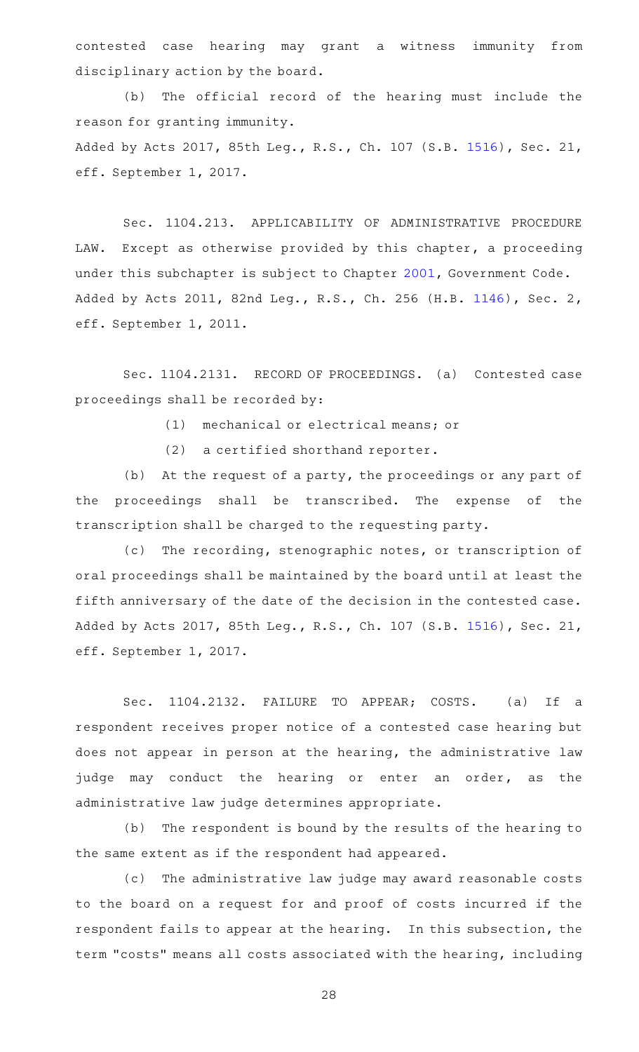contested case hearing may grant a witness immunity from disciplinary action by the board.

(b) The official record of the hearing must include the reason for granting immunity. Added by Acts 2017, 85th Leg., R.S., Ch. 107 (S.B. [1516\)](http://www.legis.state.tx.us/tlodocs/85R/billtext/html/SB01516F.HTM), Sec. 21, eff. September 1, 2017.

Sec. 1104.213. APPLICABILITY OF ADMINISTRATIVE PROCEDURE LAW. Except as otherwise provided by this chapter, a proceeding under this subchapter is subject to Chapter [2001,](http://www.statutes.legis.state.tx.us/GetStatute.aspx?Code=GV&Value=2001) Government Code. Added by Acts 2011, 82nd Leg., R.S., Ch. 256 (H.B. [1146](http://www.legis.state.tx.us/tlodocs/82R/billtext/html/HB01146F.HTM)), Sec. 2, eff. September 1, 2011.

Sec. 1104.2131. RECORD OF PROCEEDINGS. (a) Contested case proceedings shall be recorded by:

(1) mechanical or electrical means; or

 $(2)$  a certified shorthand reporter.

(b) At the request of a party, the proceedings or any part of the proceedings shall be transcribed. The expense of the transcription shall be charged to the requesting party.

(c) The recording, stenographic notes, or transcription of oral proceedings shall be maintained by the board until at least the fifth anniversary of the date of the decision in the contested case. Added by Acts 2017, 85th Leg., R.S., Ch. 107 (S.B. [1516\)](http://www.legis.state.tx.us/tlodocs/85R/billtext/html/SB01516F.HTM), Sec. 21, eff. September 1, 2017.

Sec. 1104.2132. FAILURE TO APPEAR; COSTS. (a) If a respondent receives proper notice of a contested case hearing but does not appear in person at the hearing, the administrative law judge may conduct the hearing or enter an order, as the administrative law judge determines appropriate.

(b) The respondent is bound by the results of the hearing to the same extent as if the respondent had appeared.

(c) The administrative law judge may award reasonable costs to the board on a request for and proof of costs incurred if the respondent fails to appear at the hearing. In this subsection, the term "costs" means all costs associated with the hearing, including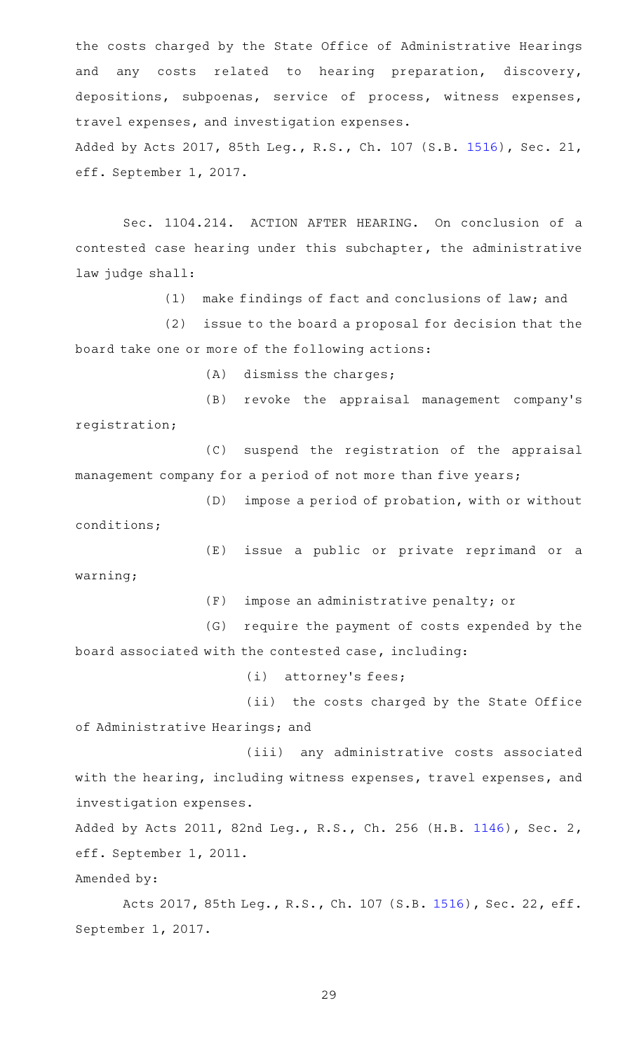the costs charged by the State Office of Administrative Hearings and any costs related to hearing preparation, discovery, depositions, subpoenas, service of process, witness expenses, travel expenses, and investigation expenses. Added by Acts 2017, 85th Leg., R.S., Ch. 107 (S.B. [1516\)](http://www.legis.state.tx.us/tlodocs/85R/billtext/html/SB01516F.HTM), Sec. 21, eff. September 1, 2017.

Sec. 1104.214. ACTION AFTER HEARING. On conclusion of a contested case hearing under this subchapter, the administrative law judge shall:

(1) make findings of fact and conclusions of law; and

(2) issue to the board a proposal for decision that the board take one or more of the following actions:

 $(A)$  dismiss the charges;

(B) revoke the appraisal management company's registration;

(C) suspend the registration of the appraisal management company for a period of not more than five years;

(D) impose a period of probation, with or without conditions;

(E) issue a public or private reprimand or a warning;

(F) impose an administrative penalty; or

(G) require the payment of costs expended by the board associated with the contested case, including:

 $(i)$  attorney's fees;

(ii) the costs charged by the State Office of Administrative Hearings; and

(iii) any administrative costs associated with the hearing, including witness expenses, travel expenses, and investigation expenses.

Added by Acts 2011, 82nd Leg., R.S., Ch. 256 (H.B. [1146](http://www.legis.state.tx.us/tlodocs/82R/billtext/html/HB01146F.HTM)), Sec. 2, eff. September 1, 2011.

Amended by:

Acts 2017, 85th Leg., R.S., Ch. 107 (S.B. [1516\)](http://www.legis.state.tx.us/tlodocs/85R/billtext/html/SB01516F.HTM), Sec. 22, eff. September 1, 2017.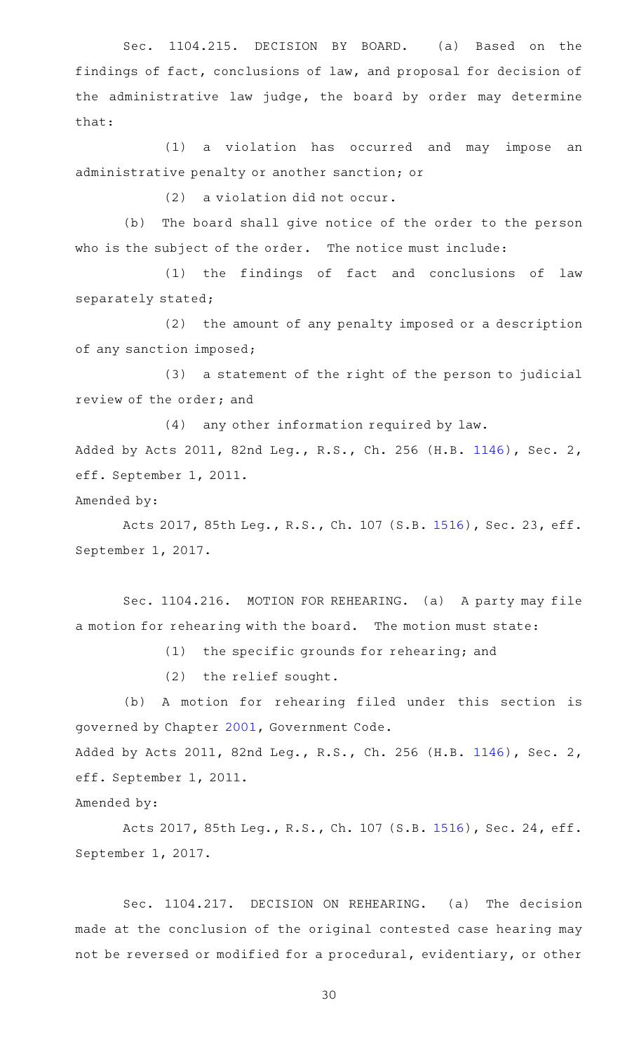Sec. 1104.215. DECISION BY BOARD. (a) Based on the findings of fact, conclusions of law, and proposal for decision of the administrative law judge, the board by order may determine that:

(1) a violation has occurred and may impose an administrative penalty or another sanction; or

 $(2)$  a violation did not occur.

(b) The board shall give notice of the order to the person who is the subject of the order. The notice must include:

(1) the findings of fact and conclusions of law separately stated;

(2) the amount of any penalty imposed or a description of any sanction imposed;

(3) a statement of the right of the person to judicial review of the order; and

(4) any other information required by law. Added by Acts 2011, 82nd Leg., R.S., Ch. 256 (H.B. [1146](http://www.legis.state.tx.us/tlodocs/82R/billtext/html/HB01146F.HTM)), Sec. 2, eff. September 1, 2011.

Amended by:

Acts 2017, 85th Leg., R.S., Ch. 107 (S.B. [1516\)](http://www.legis.state.tx.us/tlodocs/85R/billtext/html/SB01516F.HTM), Sec. 23, eff. September 1, 2017.

Sec. 1104.216. MOTION FOR REHEARING. (a) A party may file a motion for rehearing with the board. The motion must state:

(1) the specific grounds for rehearing; and

 $(2)$  the relief sought.

(b) A motion for rehearing filed under this section is governed by Chapter [2001,](http://www.statutes.legis.state.tx.us/GetStatute.aspx?Code=GV&Value=2001) Government Code.

Added by Acts 2011, 82nd Leg., R.S., Ch. 256 (H.B. [1146](http://www.legis.state.tx.us/tlodocs/82R/billtext/html/HB01146F.HTM)), Sec. 2, eff. September 1, 2011.

Amended by:

Acts 2017, 85th Leg., R.S., Ch. 107 (S.B. [1516\)](http://www.legis.state.tx.us/tlodocs/85R/billtext/html/SB01516F.HTM), Sec. 24, eff. September 1, 2017.

Sec. 1104.217. DECISION ON REHEARING. (a) The decision made at the conclusion of the original contested case hearing may not be reversed or modified for a procedural, evidentiary, or other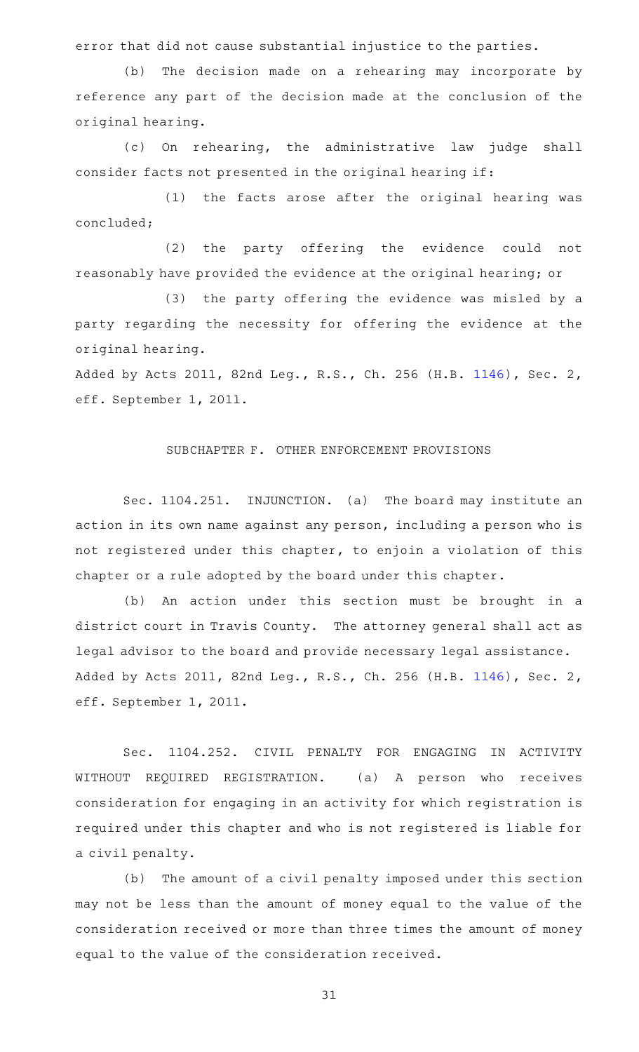error that did not cause substantial injustice to the parties.

(b) The decision made on a rehearing may incorporate by reference any part of the decision made at the conclusion of the original hearing.

(c) On rehearing, the administrative law judge shall consider facts not presented in the original hearing if:

 $(1)$  the facts arose after the original hearing was concluded;

(2) the party offering the evidence could not reasonably have provided the evidence at the original hearing; or

(3) the party offering the evidence was misled by a party regarding the necessity for offering the evidence at the original hearing.

Added by Acts 2011, 82nd Leg., R.S., Ch. 256 (H.B. [1146](http://www.legis.state.tx.us/tlodocs/82R/billtext/html/HB01146F.HTM)), Sec. 2, eff. September 1, 2011.

## SUBCHAPTER F. OTHER ENFORCEMENT PROVISIONS

Sec. 1104.251. INJUNCTION. (a) The board may institute an action in its own name against any person, including a person who is not registered under this chapter, to enjoin a violation of this chapter or a rule adopted by the board under this chapter.

(b) An action under this section must be brought in a district court in Travis County. The attorney general shall act as legal advisor to the board and provide necessary legal assistance. Added by Acts 2011, 82nd Leg., R.S., Ch. 256 (H.B. [1146](http://www.legis.state.tx.us/tlodocs/82R/billtext/html/HB01146F.HTM)), Sec. 2, eff. September 1, 2011.

Sec. 1104.252. CIVIL PENALTY FOR ENGAGING IN ACTIVITY WITHOUT REQUIRED REGISTRATION. (a) A person who receives consideration for engaging in an activity for which registration is required under this chapter and who is not registered is liable for a civil penalty.

(b) The amount of a civil penalty imposed under this section may not be less than the amount of money equal to the value of the consideration received or more than three times the amount of money equal to the value of the consideration received.